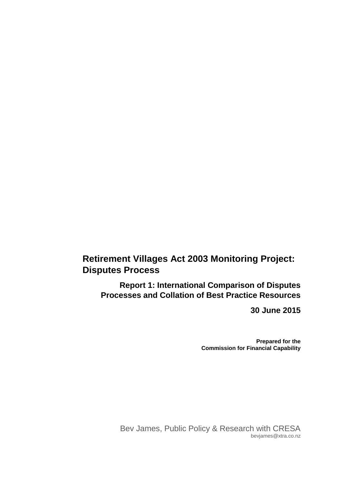# **Retirement Villages Act 2003 Monitoring Project: Disputes Process**

**Report 1: International Comparison of Disputes Processes and Collation of Best Practice Resources**

**30 June 2015**

**Prepared for the Commission for Financial Capability**

Bev James, Public Policy & Research with CRESA bevjames@xtra.co.nz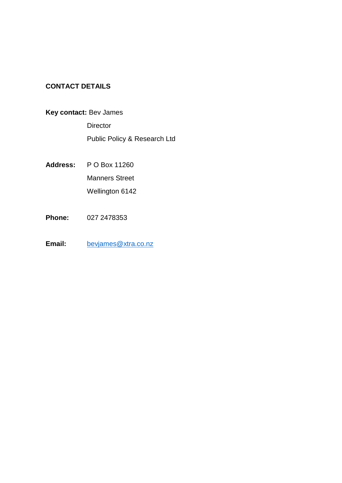# **CONTACT DETAILS**

# **Key contact:** Bev James

**Director** Public Policy & Research Ltd

- **Address:** P O Box 11260 Manners Street Wellington 6142
- **Phone:** 027 2478353
- Email: [bevjames@xtra.co.nz](mailto:bevjames@xtra.co.nz)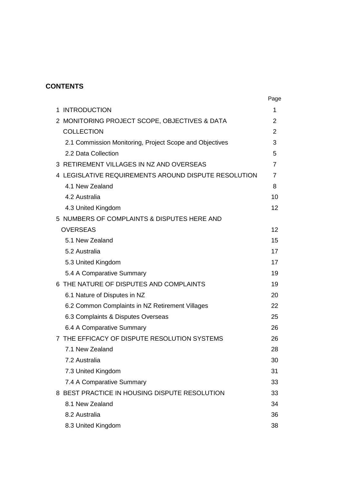# **CONTENTS**

|                                                         | Page           |
|---------------------------------------------------------|----------------|
| <b>INTRODUCTION</b><br>1.                               | 1              |
| 2 MONITORING PROJECT SCOPE, OBJECTIVES & DATA           | 2              |
| <b>COLLECTION</b>                                       | $\overline{2}$ |
| 2.1 Commission Monitoring, Project Scope and Objectives | 3              |
| 2.2 Data Collection                                     | 5              |
| 3 RETIREMENT VILLAGES IN NZ AND OVERSEAS                | 7              |
| 4 LEGISLATIVE REQUIREMENTS AROUND DISPUTE RESOLUTION    | 7              |
| 4.1 New Zealand                                         | 8              |
| 4.2 Australia                                           | 10             |
| 4.3 United Kingdom                                      | 12             |
| 5 NUMBERS OF COMPLAINTS & DISPUTES HERE AND             |                |
| <b>OVERSEAS</b>                                         | 12             |
| 5.1 New Zealand                                         | 15             |
| 5.2 Australia                                           | 17             |
| 5.3 United Kingdom                                      | 17             |
| 5.4 A Comparative Summary                               | 19             |
| 6 THE NATURE OF DISPUTES AND COMPLAINTS                 | 19             |
| 6.1 Nature of Disputes in NZ                            | 20             |
| 6.2 Common Complaints in NZ Retirement Villages         | 22             |
| 6.3 Complaints & Disputes Overseas                      | 25             |
| 6.4 A Comparative Summary                               | 26             |
| 7 THE EFFICACY OF DISPUTE RESOLUTION SYSTEMS            | 26             |
| 7.1 New Zealand                                         | 28             |
| 7.2 Australia                                           | 30             |
| 7.3 United Kingdom                                      | 31             |
| 7.4 A Comparative Summary                               | 33             |
| 8 BEST PRACTICE IN HOUSING DISPUTE RESOLUTION           | 33             |
| 8.1 New Zealand                                         | 34             |
| 8.2 Australia                                           | 36             |
| 8.3 United Kingdom                                      | 38             |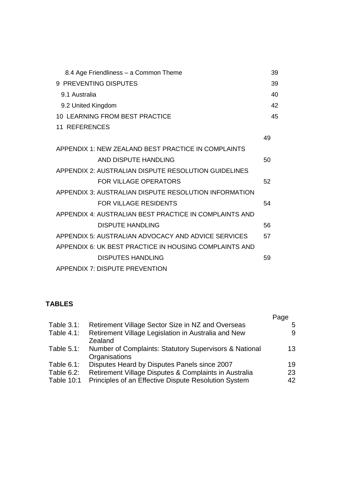| 8.4 Age Friendliness - a Common Theme                  | 39 |
|--------------------------------------------------------|----|
| 9 PREVENTING DISPUTES                                  | 39 |
| 9.1 Australia                                          | 40 |
| 9.2 United Kingdom                                     | 42 |
| <b>10 LEARNING FROM BEST PRACTICE</b>                  | 45 |
| 11 REFERENCES                                          |    |
|                                                        | 49 |
| APPENDIX 1: NEW ZEALAND BEST PRACTICE IN COMPLAINTS    |    |
| AND DISPUTE HANDLING                                   | 50 |
| APPENDIX 2: AUSTRALIAN DISPUTE RESOLUTION GUIDELINES   |    |
| <b>FOR VILLAGE OPERATORS</b>                           | 52 |
| APPENDIX 3: AUSTRALIAN DISPUTE RESOLUTION INFORMATION  |    |
| <b>FOR VILLAGE RESIDENTS</b>                           | 54 |
| APPENDIX 4: AUSTRALIAN BEST PRACTICE IN COMPLAINTS AND |    |
| DISPUTE HANDLING                                       | 56 |
| APPENDIX 5: AUSTRALIAN ADVOCACY AND ADVICE SERVICES    | 57 |
| APPENDIX 6: UK BEST PRACTICE IN HOUSING COMPLAINTS AND |    |
| <b>DISPUTES HANDLING</b>                               | 59 |
| APPENDIX 7: DISPUTE PREVENTION                         |    |

### **TABLES**

|                   |                                                                         | Page |
|-------------------|-------------------------------------------------------------------------|------|
| Table $3.1$ :     | Retirement Village Sector Size in NZ and Overseas                       | 5    |
| Table $4.1$ :     | Retirement Village Legislation in Australia and New<br>Zealand          | 9    |
| Table $5.1$ :     | Number of Complaints: Statutory Supervisors & National<br>Organisations | 13   |
| Table $6.1$ :     | Disputes Heard by Disputes Panels since 2007                            | 19   |
| Table 6.2:        | Retirement Village Disputes & Complaints in Australia                   | 23   |
| <b>Table 10:1</b> | Principles of an Effective Dispute Resolution System                    | 42   |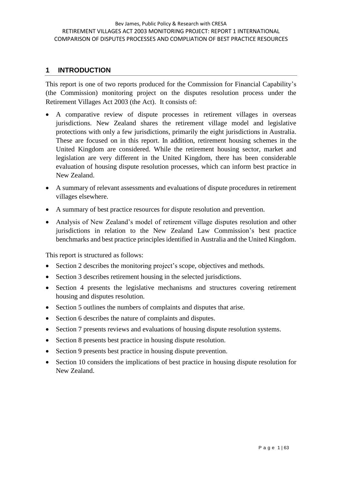#### **1 INTRODUCTION**

This report is one of two reports produced for the Commission for Financial Capability's (the Commission) monitoring project on the disputes resolution process under the Retirement Villages Act 2003 (the Act). It consists of:

- A comparative review of dispute processes in retirement villages in overseas jurisdictions. New Zealand shares the retirement village model and legislative protections with only a few jurisdictions, primarily the eight jurisdictions in Australia. These are focused on in this report. In addition, retirement housing schemes in the United Kingdom are considered. While the retirement housing sector, market and legislation are very different in the United Kingdom, there has been considerable evaluation of housing dispute resolution processes, which can inform best practice in New Zealand.
- A summary of relevant assessments and evaluations of dispute procedures in retirement villages elsewhere.
- A summary of best practice resources for dispute resolution and prevention.
- Analysis of New Zealand's model of retirement village disputes resolution and other jurisdictions in relation to the New Zealand Law Commission's best practice benchmarks and best practice principles identified in Australia and the United Kingdom.

This report is structured as follows:

- Section 2 describes the monitoring project's scope, objectives and methods.
- Section 3 describes retirement housing in the selected jurisdictions.
- Section 4 presents the legislative mechanisms and structures covering retirement housing and disputes resolution.
- Section 5 outlines the numbers of complaints and disputes that arise.
- Section 6 describes the nature of complaints and disputes.
- Section 7 presents reviews and evaluations of housing dispute resolution systems.
- Section 8 presents best practice in housing dispute resolution.
- Section 9 presents best practice in housing dispute prevention.
- Section 10 considers the implications of best practice in housing dispute resolution for New Zealand.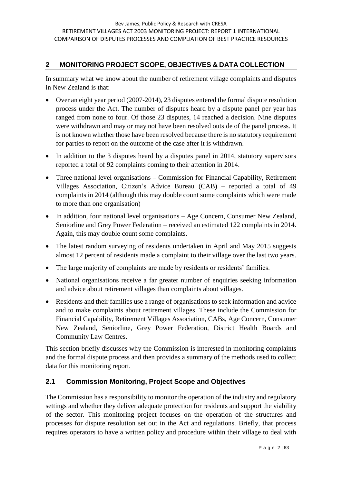### **2 MONITORING PROJECT SCOPE, OBJECTIVES & DATA COLLECTION**

In summary what we know about the number of retirement village complaints and disputes in New Zealand is that:

- Over an eight year period (2007-2014), 23 disputes entered the formal dispute resolution process under the Act. The number of disputes heard by a dispute panel per year has ranged from none to four. Of those 23 disputes, 14 reached a decision. Nine disputes were withdrawn and may or may not have been resolved outside of the panel process. It is not known whether those have been resolved because there is no statutory requirement for parties to report on the outcome of the case after it is withdrawn.
- In addition to the 3 disputes heard by a disputes panel in 2014, statutory supervisors reported a total of 92 complaints coming to their attention in 2014.
- Three national level organisations Commission for Financial Capability, Retirement Villages Association, Citizen's Advice Bureau (CAB) – reported a total of 49 complaints in 2014 (although this may double count some complaints which were made to more than one organisation)
- In addition, four national level organisations Age Concern, Consumer New Zealand, Seniorline and Grey Power Federation – received an estimated 122 complaints in 2014. Again, this may double count some complaints.
- The latest random surveying of residents undertaken in April and May 2015 suggests almost 12 percent of residents made a complaint to their village over the last two years.
- The large majority of complaints are made by residents or residents' families.
- National organisations receive a far greater number of enquiries seeking information and advice about retirement villages than complaints about villages.
- Residents and their families use a range of organisations to seek information and advice and to make complaints about retirement villages. These include the Commission for Financial Capability, Retirement Villages Association, CABs, Age Concern, Consumer New Zealand, Seniorline, Grey Power Federation, District Health Boards and Community Law Centres.

This section briefly discusses why the Commission is interested in monitoring complaints and the formal dispute process and then provides a summary of the methods used to collect data for this monitoring report.

## **2.1 Commission Monitoring, Project Scope and Objectives**

The Commission has a responsibility to monitor the operation of the industry and regulatory settings and whether they deliver adequate protection for residents and support the viability of the sector. This monitoring project focuses on the operation of the structures and processes for dispute resolution set out in the Act and regulations. Briefly, that process requires operators to have a written policy and procedure within their village to deal with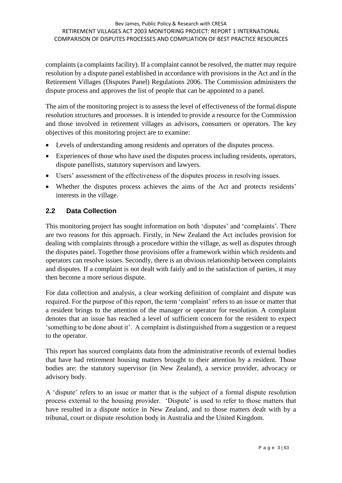#### Bev James, Public Policy & Research with CRESA RETIREMENT VILLAGES ACT 2003 MONITORING PROJECT: REPORT 1 INTERNATIONAL COMPARISON OF DISPUTES PROCESSES AND COMPLIATION OF BEST PRACTICE RESOURCES

complaints (a complaints facility). If a complaint cannot be resolved, the matter may require resolution by a dispute panel established in accordance with provisions in the Act and in the Retirement Villages (Disputes Panel) Regulations 2006. The Commission administers the dispute process and approves the list of people that can be appointed to a panel.

The aim of the monitoring project is to assess the level of effectiveness of the formal dispute resolution structures and processes. It is intended to provide a resource for the Commission and those involved in retirement villages as advisors, consumers or operators. The key objectives of this monitoring project are to examine:

- Levels of understanding among residents and operators of the disputes process.
- Experiences of those who have used the disputes process including residents, operators, dispute panellists, statutory supervisors and lawyers.
- Users' assessment of the effectiveness of the disputes process in resolving issues.
- Whether the disputes process achieves the aims of the Act and protects residents' interests in the village.

#### **2.2 Data Collection**

This monitoring project has sought information on both 'disputes' and 'complaints'. There are two reasons for this approach. Firstly, in New Zealand the Act includes provision for dealing with complaints through a procedure within the village, as well as disputes through the disputes panel. Together those provisions offer a framework within which residents and operators can resolve issues. Secondly, there is an obvious relationship between complaints and disputes. If a complaint is not dealt with fairly and to the satisfaction of parties, it may then become a more serious dispute.

For data collection and analysis, a clear working definition of complaint and dispute was required. For the purpose of this report, the term 'complaint' refers to an issue or matter that a resident brings to the attention of the manager or operator for resolution. A complaint denotes that an issue has reached a level of sufficient concern for the resident to expect 'something to be done about it'. A complaint is distinguished from a suggestion or a request to the operator.

This report has sourced complaints data from the administrative records of external bodies that have had retirement housing matters brought to their attention by a resident. Those bodies are: the statutory supervisor (in New Zealand), a service provider, advocacy or advisory body.

A 'dispute' refers to an issue or matter that is the subject of a formal dispute resolution process external to the housing provider. 'Dispute' is used to refer to those matters that have resulted in a dispute notice in New Zealand, and to those matters dealt with by a tribunal, court or dispute resolution body in Australia and the United Kingdom.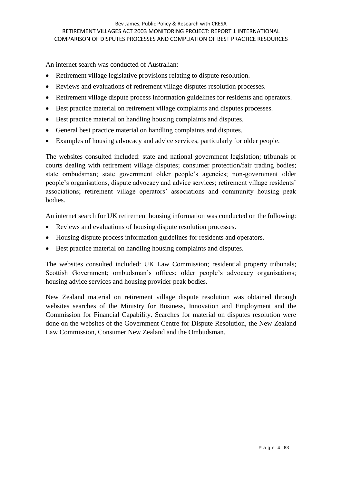An internet search was conducted of Australian:

- Retirement village legislative provisions relating to dispute resolution.
- Reviews and evaluations of retirement village disputes resolution processes.
- Retirement village dispute process information guidelines for residents and operators.
- Best practice material on retirement village complaints and disputes processes.
- Best practice material on handling housing complaints and disputes.
- General best practice material on handling complaints and disputes.
- Examples of housing advocacy and advice services, particularly for older people.

The websites consulted included: state and national government legislation; tribunals or courts dealing with retirement village disputes; consumer protection/fair trading bodies; state ombudsman; state government older people's agencies; non-government older people's organisations, dispute advocacy and advice services; retirement village residents' associations; retirement village operators' associations and community housing peak bodies.

An internet search for UK retirement housing information was conducted on the following:

- Reviews and evaluations of housing dispute resolution processes.
- Housing dispute process information guidelines for residents and operators.
- Best practice material on handling housing complaints and disputes.

The websites consulted included: UK Law Commission; residential property tribunals; Scottish Government; ombudsman's offices; older people's advocacy organisations; housing advice services and housing provider peak bodies.

New Zealand material on retirement village dispute resolution was obtained through websites searches of the Ministry for Business, Innovation and Employment and the Commission for Financial Capability. Searches for material on disputes resolution were done on the websites of the Government Centre for Dispute Resolution, the New Zealand Law Commission, Consumer New Zealand and the Ombudsman.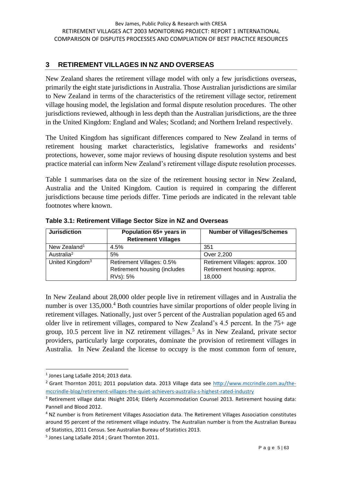#### **3 RETIREMENT VILLAGES IN NZ AND OVERSEAS**

New Zealand shares the retirement village model with only a few jurisdictions overseas, primarily the eight state jurisdictions in Australia. Those Australian jurisdictions are similar to New Zealand in terms of the characteristics of the retirement village sector, retirement village housing model, the legislation and formal dispute resolution procedures. The other jurisdictions reviewed, although in less depth than the Australian jurisdictions, are the three in the United Kingdom: England and Wales; Scotland; and Northern Ireland respectively.

The United Kingdom has significant differences compared to New Zealand in terms of retirement housing market characteristics, legislative frameworks and residents' protections, however, some major reviews of housing dispute resolution systems and best practice material can inform New Zealand's retirement village dispute resolution processes.

Table 1 summarises data on the size of the retirement housing sector in New Zealand, Australia and the United Kingdom. Caution is required in comparing the different jurisdictions because time periods differ. Time periods are indicated in the relevant table footnotes where known.

| <b>Jurisdiction</b>         | Population 65+ years in<br><b>Retirement Villages</b> | <b>Number of Villages/Schemes</b> |
|-----------------------------|-------------------------------------------------------|-----------------------------------|
| New Zealand <sup>1</sup>    | 4.5%                                                  | 351                               |
| Australia <sup>2</sup>      | 5%                                                    | Over 2,200                        |
| United Kingdom <sup>3</sup> | Retirement Villages: 0.5%                             | Retirement Villages: approx. 100  |
|                             | Retirement housing (includes                          | Retirement housing: approx.       |
|                             | RVs): 5%                                              | 18,000                            |

**Table 3.1: Retirement Village Sector Size in NZ and Overseas** 

In New Zealand about 28,000 older people live in retirement villages and in Australia the number is over 135,000.<sup>4</sup> Both countries have similar proportions of older people living in retirement villages. Nationally, just over 5 percent of the Australian population aged 65 and older live in retirement villages, compared to New Zealand's 4.5 percent. In the 75+ age group,  $10.5$  percent live in NZ retirement villages.<sup>5</sup> As in New Zealand, private sector providers, particularly large corporates, dominate the provision of retirement villages in Australia. In New Zealand the license to occupy is the most common form of tenure,

<sup>&</sup>lt;sup>1</sup> Jones Lang LaSalle 2014; 2013 data.

<sup>&</sup>lt;sup>2</sup> Grant Thornton 2011; 2011 population data. 2013 Village data see [http://www.mccrindle.com.au/the](http://www.mccrindle.com.au/the-mccrindle-blog/retirement-villages-the-quiet-achievers-australia-s-highest-rated-industry)[mccrindle-blog/retirement-villages-the-quiet-achievers-australia-s-highest-rated-industry](http://www.mccrindle.com.au/the-mccrindle-blog/retirement-villages-the-quiet-achievers-australia-s-highest-rated-industry)

<sup>3</sup> Retirement village data: INsight 2014; Elderly Accommodation Counsel 2013. Retirement housing data: Pannell and Blood 2012.

<sup>&</sup>lt;sup>4</sup> NZ number is from Retirement Villages Association data. The Retirement Villages Association constitutes around 95 percent of the retirement village industry. The Australian number is from the Australian Bureau of Statistics, 2011 Census. See Australian Bureau of Statistics 2013.

<sup>5</sup> Jones Lang LaSalle 2014 ; Grant Thornton 2011.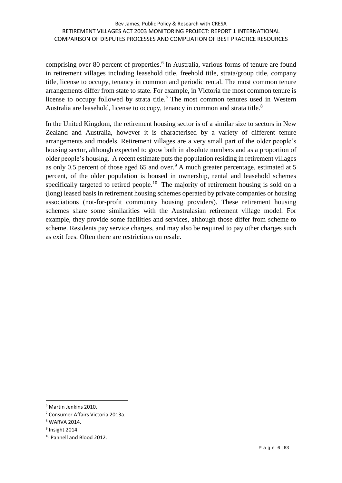comprising over 80 percent of properties. 6 In Australia, various forms of tenure are found in retirement villages including leasehold title, freehold title, strata/group title, company title, license to occupy, tenancy in common and periodic rental. The most common tenure arrangements differ from state to state. For example, in Victoria the most common tenure is license to occupy followed by strata title.<sup>7</sup> The most common tenures used in Western Australia are leasehold, license to occupy, tenancy in common and strata title.<sup>8</sup>

In the United Kingdom, the retirement housing sector is of a similar size to sectors in New Zealand and Australia, however it is characterised by a variety of different tenure arrangements and models. Retirement villages are a very small part of the older people's housing sector, although expected to grow both in absolute numbers and as a proportion of older people's housing. A recent estimate puts the population residing in retirement villages as only 0.5 percent of those aged 65 and over.<sup>9</sup> A much greater percentage, estimated at 5 percent, of the older population is housed in ownership, rental and leasehold schemes specifically targeted to retired people.<sup>10</sup> The majority of retirement housing is sold on a (long) leased basis in retirement housing schemes operated by private companies or housing associations (not-for-profit community housing providers). These retirement housing schemes share some similarities with the Australasian retirement village model. For example, they provide some facilities and services, although those differ from scheme to scheme. Residents pay service charges, and may also be required to pay other charges such as exit fees. Often there are restrictions on resale.

<sup>6</sup> Martin Jenkins 2010.

<sup>7</sup> Consumer Affairs Victoria 2013a.

<sup>8</sup> WARVA 2014.

<sup>&</sup>lt;sup>9</sup> Insight 2014.

<sup>10</sup> Pannell and Blood 2012.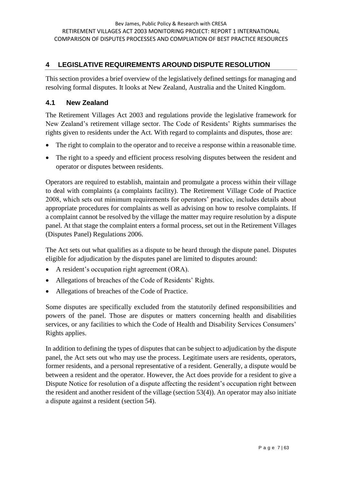#### **4 LEGISLATIVE REQUIREMENTS AROUND DISPUTE RESOLUTION**

This section provides a brief overview of the legislatively defined settings for managing and resolving formal disputes. It looks at New Zealand, Australia and the United Kingdom.

#### **4.1 New Zealand**

The Retirement Villages Act 2003 and regulations provide the legislative framework for New Zealand's retirement village sector. The Code of Residents' Rights summarises the rights given to residents under the Act. With regard to complaints and disputes, those are:

- The right to complain to the operator and to receive a response within a reasonable time.
- The right to a speedy and efficient process resolving disputes between the resident and operator or disputes between residents.

Operators are required to establish, maintain and promulgate a process within their village to deal with complaints (a complaints facility). The Retirement Village Code of Practice 2008, which sets out minimum requirements for operators' practice, includes details about appropriate procedures for complaints as well as advising on how to resolve complaints. If a complaint cannot be resolved by the village the matter may require resolution by a dispute panel. At that stage the complaint enters a formal process, set out in the Retirement Villages (Disputes Panel) Regulations 2006.

The Act sets out what qualifies as a dispute to be heard through the dispute panel. Disputes eligible for adjudication by the disputes panel are limited to disputes around:

- A resident's occupation right agreement (ORA).
- Allegations of breaches of the Code of Residents' Rights.
- Allegations of breaches of the Code of Practice.

Some disputes are specifically excluded from the statutorily defined responsibilities and powers of the panel. Those are disputes or matters concerning health and disabilities services, or any facilities to which the Code of Health and Disability Services Consumers' Rights applies.

In addition to defining the types of disputes that can be subject to adjudication by the dispute panel, the Act sets out who may use the process. Legitimate users are residents, operators, former residents, and a personal representative of a resident. Generally, a dispute would be between a resident and the operator. However, the Act does provide for a resident to give a Dispute Notice for resolution of a dispute affecting the resident's occupation right between the resident and another resident of the village (section 53(4)). An operator may also initiate a dispute against a resident (section 54).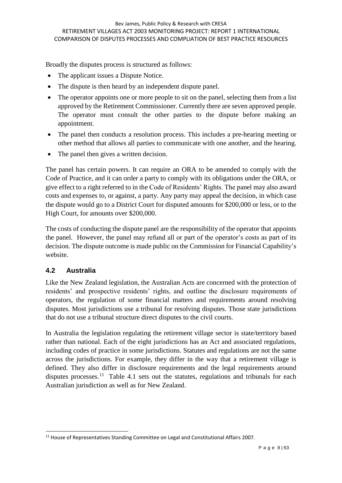Broadly the disputes process is structured as follows:

- The applicant issues a Dispute Notice.
- The dispute is then heard by an independent dispute panel.
- The operator appoints one or more people to sit on the panel, selecting them from a list approved by the Retirement Commissioner. Currently there are seven approved people. The operator must consult the other parties to the dispute before making an appointment.
- The panel then conducts a resolution process. This includes a pre-hearing meeting or other method that allows all parties to communicate with one another, and the hearing.
- The panel then gives a written decision.

The panel has certain powers. It can require an ORA to be amended to comply with the Code of Practice, and it can order a party to comply with its obligations under the ORA, or give effect to a right referred to in the Code of Residents' Rights. The panel may also award costs and expenses to, or against, a party. Any party may appeal the decision, in which case the dispute would go to a District Court for disputed amounts for \$200,000 or less, or to the High Court, for amounts over \$200,000.

The costs of conducting the dispute panel are the responsibility of the operator that appoints the panel. However, the panel may refund all or part of the operator's costs as part of its decision. The dispute outcome is made public on the Commission for Financial Capability's website.

#### **4.2 Australia**

1

Like the New Zealand legislation, the Australian Acts are concerned with the protection of residents' and prospective residents' rights, and outline the disclosure requirements of operators, the regulation of some financial matters and requirements around resolving disputes. Most jurisdictions use a tribunal for resolving disputes. Those state jurisdictions that do not use a tribunal structure direct disputes to the civil courts.

In Australia the legislation regulating the retirement village sector is state/territory based rather than national. Each of the eight jurisdictions has an Act and associated regulations, including codes of practice in some jurisdictions. Statutes and regulations are not the same across the jurisdictions. For example, they differ in the way that a retirement village is defined. They also differ in disclosure requirements and the legal requirements around disputes processes.<sup>11</sup> Table 4.1 sets out the statutes, regulations and tribunals for each Australian jurisdiction as well as for New Zealand.

<sup>&</sup>lt;sup>11</sup> House of Representatives Standing Committee on Legal and Constitutional Affairs 2007.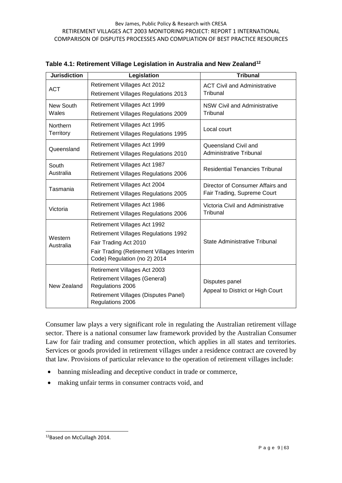| <b>Jurisdiction</b> | Legislation                                                               | <b>Tribunal</b>                       |  |
|---------------------|---------------------------------------------------------------------------|---------------------------------------|--|
| <b>ACT</b>          | Retirement Villages Act 2012                                              | <b>ACT Civil and Administrative</b>   |  |
|                     | <b>Retirement Villages Regulations 2013</b>                               | Tribunal                              |  |
| New South           | Retirement Villages Act 1999                                              | <b>NSW Civil and Administrative</b>   |  |
| Wales               | <b>Retirement Villages Regulations 2009</b>                               | Tribunal                              |  |
| Northern            | Retirement Villages Act 1995                                              | Local court                           |  |
| Territory           | <b>Retirement Villages Regulations 1995</b>                               |                                       |  |
| Queensland          | <b>Retirement Villages Act 1999</b>                                       | Queensland Civil and                  |  |
|                     | <b>Retirement Villages Regulations 2010</b>                               | Administrative Tribunal               |  |
| South               | Retirement Villages Act 1987                                              | <b>Residential Tenancies Tribunal</b> |  |
| Australia           | <b>Retirement Villages Regulations 2006</b>                               |                                       |  |
| Tasmania            | Retirement Villages Act 2004                                              | Director of Consumer Affairs and      |  |
|                     | <b>Retirement Villages Regulations 2005</b>                               | Fair Trading, Supreme Court           |  |
| Victoria            | Retirement Villages Act 1986                                              | Victoria Civil and Administrative     |  |
|                     | <b>Retirement Villages Regulations 2006</b>                               | Tribunal                              |  |
|                     | Retirement Villages Act 1992                                              |                                       |  |
| Western             | <b>Retirement Villages Regulations 1992</b>                               |                                       |  |
| Australia           | Fair Trading Act 2010                                                     | <b>State Administrative Tribunal</b>  |  |
|                     | Fair Trading (Retirement Villages Interim<br>Code) Regulation (no 2) 2014 |                                       |  |
|                     | Retirement Villages Act 2003                                              |                                       |  |
| New Zealand         | <b>Retirement Villages (General)</b><br>Regulations 2006                  | Disputes panel                        |  |
|                     | Retirement Villages (Disputes Panel)<br>Regulations 2006                  | Appeal to District or High Court      |  |

**Table 4.1: Retirement Village Legislation in Australia and New Zealand<sup>12</sup>**

Consumer law plays a very significant role in regulating the Australian retirement village sector. There is a national consumer law framework provided by the Australian Consumer Law for fair trading and consumer protection, which applies in all states and territories. Services or goods provided in retirement villages under a residence contract are covered by that law. Provisions of particular relevance to the operation of retirement villages include:

- banning misleading and deceptive conduct in trade or commerce,
- making unfair terms in consumer contracts void, and

<sup>12</sup>Based on McCullagh 2014.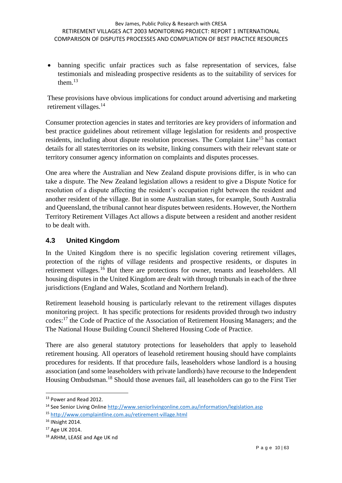banning specific unfair practices such as false representation of services, false testimonials and misleading prospective residents as to the suitability of services for them. $^{13}$ 

These provisions have obvious implications for conduct around advertising and marketing retirement villages.<sup>14</sup>

Consumer protection agencies in states and territories are key providers of information and best practice guidelines about retirement village legislation for residents and prospective residents, including about dispute resolution processes. The Complaint Line<sup>15</sup> has contact details for all states/territories on its website, linking consumers with their relevant state or territory consumer agency information on complaints and disputes processes.

One area where the Australian and New Zealand dispute provisions differ, is in who can take a dispute. The New Zealand legislation allows a resident to give a Dispute Notice for resolution of a dispute affecting the resident's occupation right between the resident and another resident of the village. But in some Australian states, for example, South Australia and Queensland, the tribunal cannot hear disputes between residents. However, the Northern Territory Retirement Villages Act allows a dispute between a resident and another resident to be dealt with.

#### **4.3 United Kingdom**

In the United Kingdom there is no specific legislation covering retirement villages, protection of the rights of village residents and prospective residents, or disputes in retirement villages.<sup>16</sup> But there are protections for owner, tenants and leaseholders. All housing disputes in the United Kingdom are dealt with through tribunals in each of the three jurisdictions (England and Wales, Scotland and Northern Ireland).

Retirement leasehold housing is particularly relevant to the retirement villages disputes monitoring project. It has specific protections for residents provided through two industry codes:<sup>17</sup> the Code of Practice of the Association of Retirement Housing Managers; and the The National House Building Council Sheltered Housing Code of Practice.

There are also general statutory protections for leaseholders that apply to leasehold retirement housing. All operators of leasehold retirement housing should have complaints procedures for residents. If that procedure fails, leaseholders whose landlord is a housing association (and some leaseholders with private landlords) have recourse to the Independent Housing Ombudsman.<sup>18</sup> Should those avenues fail, all leaseholders can go to the First Tier

<sup>13</sup> Power and Read 2012.

<sup>14</sup> See Senior Living Onlin[e http://www.seniorlivingonline.com.au/information/legislation.asp](http://www.seniorlivingonline.com.au/information/legislation.asp)

<sup>15</sup> <http://www.complaintline.com.au/retirement-village.html>

<sup>16</sup> INsight 2014.

<sup>17</sup> Age UK 2014.

<sup>18</sup> ARHM, LEASE and Age UK nd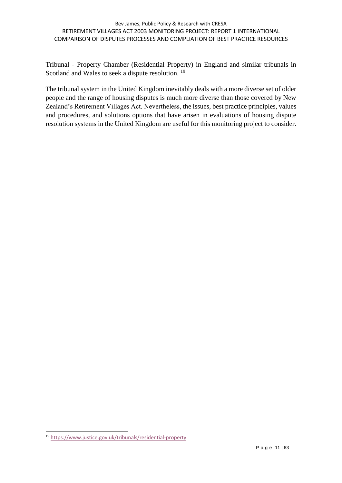#### Bev James, Public Policy & Research with CRESA RETIREMENT VILLAGES ACT 2003 MONITORING PROJECT: REPORT 1 INTERNATIONAL COMPARISON OF DISPUTES PROCESSES AND COMPLIATION OF BEST PRACTICE RESOURCES

Tribunal - Property Chamber (Residential Property) in England and similar tribunals in Scotland and Wales to seek a dispute resolution.<sup>19</sup>

The tribunal system in the United Kingdom inevitably deals with a more diverse set of older people and the range of housing disputes is much more diverse than those covered by New Zealand's Retirement Villages Act. Nevertheless, the issues, best practice principles, values and procedures, and solutions options that have arisen in evaluations of housing dispute resolution systems in the United Kingdom are useful for this monitoring project to consider.

<sup>19</sup> <https://www.justice.gov.uk/tribunals/residential-property>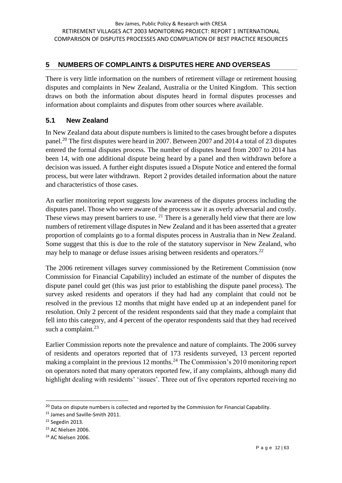## **5 NUMBERS OF COMPLAINTS & DISPUTES HERE AND OVERSEAS**

There is very little information on the numbers of retirement village or retirement housing disputes and complaints in New Zealand, Australia or the United Kingdom. This section draws on both the information about disputes heard in formal disputes processes and information about complaints and disputes from other sources where available.

# **5.1 New Zealand**

In New Zealand data about dispute numbers is limited to the cases brought before a disputes panel.<sup>20</sup> The first disputes were heard in 2007. Between 2007 and 2014 a total of 23 disputes entered the formal disputes process. The number of disputes heard from 2007 to 2014 has been 14, with one additional dispute being heard by a panel and then withdrawn before a decision was issued. A further eight disputes issued a Dispute Notice and entered the formal process, but were later withdrawn. Report 2 provides detailed information about the nature and characteristics of those cases.

An earlier monitoring report suggests low awareness of the disputes process including the disputes panel. Those who were aware of the process saw it as overly adversarial and costly. These views may present barriers to use.  $2<sup>1</sup>$  There is a generally held view that there are low numbers of retirement village disputes in New Zealand and it has been asserted that a greater proportion of complaints go to a formal disputes process in Australia than in New Zealand. Some suggest that this is due to the role of the statutory supervisor in New Zealand, who may help to manage or defuse issues arising between residents and operators.<sup>22</sup>

The 2006 retirement villages survey commissioned by the Retirement Commission (now Commission for Financial Capability) included an estimate of the number of disputes the dispute panel could get (this was just prior to establishing the dispute panel process). The survey asked residents and operators if they had had any complaint that could not be resolved in the previous 12 months that might have ended up at an independent panel for resolution. Only 2 percent of the resident respondents said that they made a complaint that fell into this category, and 4 percent of the operator respondents said that they had received such a complaint.<sup>23</sup>

Earlier Commission reports note the prevalence and nature of complaints. The 2006 survey of residents and operators reported that of 173 residents surveyed, 13 percent reported making a complaint in the previous 12 months.<sup>24</sup> The Commission's 2010 monitoring report on operators noted that many operators reported few, if any complaints, although many did highlight dealing with residents' 'issues'. Three out of five operators reported receiving no

<sup>1</sup>  $20$  Data on dispute numbers is collected and reported by the Commission for Financial Capability.

<sup>21</sup> James and Saville-Smith 2011.

<sup>&</sup>lt;sup>22</sup> Segedin 2013.

<sup>&</sup>lt;sup>23</sup> AC Nielsen 2006.

<sup>&</sup>lt;sup>24</sup> AC Nielsen 2006.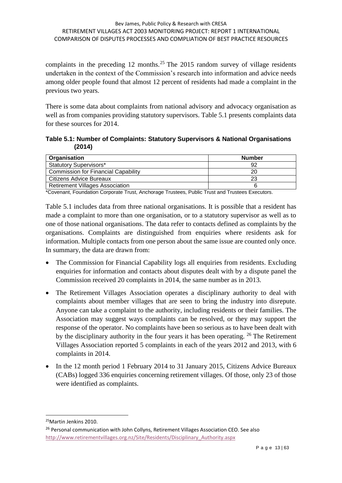complaints in the preceding 12 months.<sup>25</sup> The 2015 random survey of village residents undertaken in the context of the Commission's research into information and advice needs among older people found that almost 12 percent of residents had made a complaint in the previous two years.

There is some data about complaints from national advisory and advocacy organisation as well as from companies providing statutory supervisors. Table 5.1 presents complaints data for these sources for 2014.

**Table 5.1: Number of Complaints: Statutory Supervisors & National Organisations (2014)**

| Organisation                               | <b>Number</b> |
|--------------------------------------------|---------------|
| <b>Statutory Supervisors*</b>              |               |
| <b>Commission for Financial Capability</b> |               |
| <b>Citizens Advice Bureaux</b>             | 23            |
| <b>Retirement Villages Association</b>     |               |

\*Covenant, Foundation Corporate Trust, Anchorage Trustees, Public Trust and Trustees Executors.

Table 5.1 includes data from three national organisations. It is possible that a resident has made a complaint to more than one organisation, or to a statutory supervisor as well as to one of those national organisations. The data refer to contacts defined as complaints by the organisations. Complaints are distinguished from enquiries where residents ask for information. Multiple contacts from one person about the same issue are counted only once. In summary, the data are drawn from:

- The Commission for Financial Capability logs all enquiries from residents. Excluding enquiries for information and contacts about disputes dealt with by a dispute panel the Commission received 20 complaints in 2014, the same number as in 2013.
- The Retirement Villages Association operates a disciplinary authority to deal with complaints about member villages that are seen to bring the industry into disrepute. Anyone can take a complaint to the authority, including residents or their families. The Association may suggest ways complaints can be resolved, or they may support the response of the operator. No complaints have been so serious as to have been dealt with by the disciplinary authority in the four years it has been operating.  $^{26}$  The Retirement Villages Association reported 5 complaints in each of the years 2012 and 2013, with 6 complaints in 2014.
- In the 12 month period 1 February 2014 to 31 January 2015, Citizens Advice Bureaux (CABs) logged 336 enquiries concerning retirement villages. Of those, only 23 of those were identified as complaints.

<sup>25</sup>Martin Jenkins 2010.

<sup>&</sup>lt;sup>26</sup> Personal communication with John Collyns, Retirement Villages Association CEO. See also [http://www.retirementvillages.org.nz/Site/Residents/Disciplinary\\_Authority.aspx](http://www.retirementvillages.org.nz/Site/Residents/Disciplinary_Authority.aspx)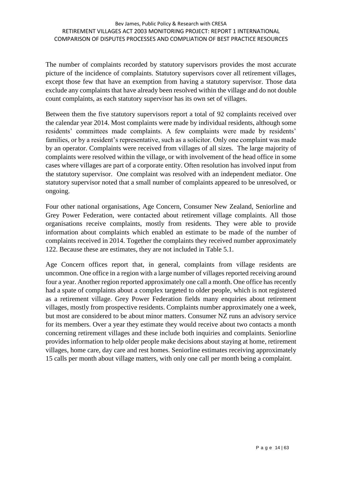The number of complaints recorded by statutory supervisors provides the most accurate picture of the incidence of complaints. Statutory supervisors cover all retirement villages, except those few that have an exemption from having a statutory supervisor. Those data exclude any complaints that have already been resolved within the village and do not double count complaints, as each statutory supervisor has its own set of villages.

Between them the five statutory supervisors report a total of 92 complaints received over the calendar year 2014. Most complaints were made by individual residents, although some residents' committees made complaints. A few complaints were made by residents' families, or by a resident's representative, such as a solicitor. Only one complaint was made by an operator. Complaints were received from villages of all sizes. The large majority of complaints were resolved within the village, or with involvement of the head office in some cases where villages are part of a corporate entity. Often resolution has involved input from the statutory supervisor. One complaint was resolved with an independent mediator. One statutory supervisor noted that a small number of complaints appeared to be unresolved, or ongoing.

Four other national organisations, Age Concern, Consumer New Zealand, Seniorline and Grey Power Federation, were contacted about retirement village complaints. All those organisations receive complaints, mostly from residents. They were able to provide information about complaints which enabled an estimate to be made of the number of complaints received in 2014. Together the complaints they received number approximately 122. Because these are estimates, they are not included in Table 5.1.

Age Concern offices report that, in general, complaints from village residents are uncommon. One office in a region with a large number of villages reported receiving around four a year. Another region reported approximately one call a month. One office has recently had a spate of complaints about a complex targeted to older people, which is not registered as a retirement village. Grey Power Federation fields many enquiries about retirement villages, mostly from prospective residents. Complaints number approximately one a week, but most are considered to be about minor matters. Consumer NZ runs an advisory service for its members. Over a year they estimate they would receive about two contacts a month concerning retirement villages and these include both inquiries and complaints. Seniorline provides information to help older people make decisions about staying at home, retirement villages, home care, day care and rest homes. Seniorline estimates receiving approximately 15 calls per month about village matters, with only one call per month being a complaint.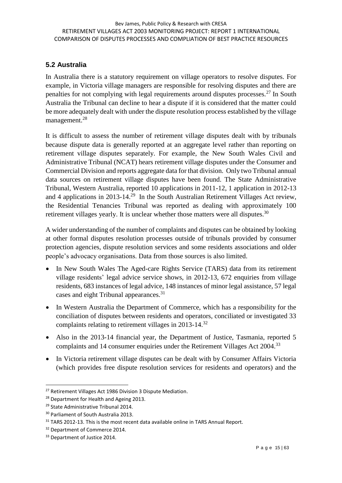### **5.2 Australia**

In Australia there is a statutory requirement on village operators to resolve disputes. For example, in Victoria village managers are responsible for resolving disputes and there are penalties for not complying with legal requirements around disputes processes.<sup>27</sup> In South Australia the Tribunal can decline to hear a dispute if it is considered that the matter could be more adequately dealt with under the dispute resolution process established by the village management.<sup>28</sup>

It is difficult to assess the number of retirement village disputes dealt with by tribunals because dispute data is generally reported at an aggregate level rather than reporting on retirement village disputes separately. For example, the New South Wales Civil and Administrative Tribunal (NCAT) hears retirement village disputes under the Consumer and Commercial Division and reports aggregate data for that division. Only two Tribunal annual data sources on retirement village disputes have been found. The State Administrative Tribunal, Western Australia, reported 10 applications in 2011-12, 1 application in 2012-13 and 4 applications in 2013-14.<sup>29</sup> In the South Australian Retirement Villages Act review, the Residential Tenancies Tribunal was reported as dealing with approximately 100 retirement villages yearly. It is unclear whether those matters were all disputes.<sup>30</sup>

A wider understanding of the number of complaints and disputes can be obtained by looking at other formal disputes resolution processes outside of tribunals provided by consumer protection agencies, dispute resolution services and some residents associations and older people's advocacy organisations. Data from those sources is also limited.

- In New South Wales The Aged-care Rights Service (TARS) data from its retirement village residents' legal advice service shows, in 2012-13, 672 enquiries from village residents, 683 instances of legal advice, 148 instances of minor legal assistance, 57 legal cases and eight Tribunal appearances.<sup>31</sup>
- In Western Australia the Department of Commerce, which has a responsibility for the conciliation of disputes between residents and operators, conciliated or investigated 33 complaints relating to retirement villages in 2013-14.<sup>32</sup>
- Also in the 2013-14 financial year, the Department of Justice, Tasmania, reported 5 complaints and 14 consumer enquiries under the Retirement Villages Act 2004.<sup>33</sup>
- In Victoria retirement village disputes can be dealt with by Consumer Affairs Victoria (which provides free dispute resolution services for residents and operators) and the

<sup>&</sup>lt;sup>27</sup> Retirement Villages Act 1986 Division 3 Dispute Mediation.

<sup>&</sup>lt;sup>28</sup> Department for Health and Ageing 2013.

<sup>29</sup> State Administrative Tribunal 2014.

<sup>&</sup>lt;sup>30</sup> Parliament of South Australia 2013.

<sup>&</sup>lt;sup>31</sup> TARS 2012-13. This is the most recent data available online in TARS Annual Report.

<sup>&</sup>lt;sup>32</sup> Department of Commerce 2014.

<sup>&</sup>lt;sup>33</sup> Department of Justice 2014.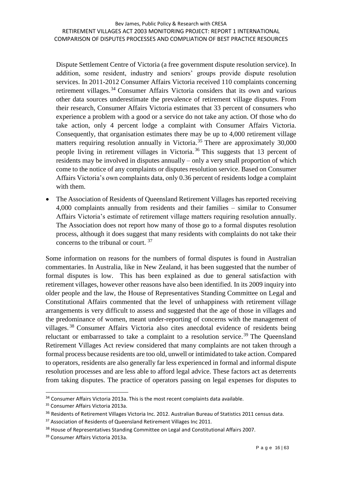Dispute Settlement Centre of Victoria (a free government dispute resolution service). In addition, some resident, industry and seniors' groups provide dispute resolution services. In 2011-2012 Consumer Affairs Victoria received 110 complaints concerning retirement villages.<sup>34</sup> Consumer Affairs Victoria considers that its own and various other data sources underestimate the prevalence of retirement village disputes. From their research, Consumer Affairs Victoria estimates that 33 percent of consumers who experience a problem with a good or a service do not take any action. Of those who do take action, only 4 percent lodge a complaint with Consumer Affairs Victoria. Consequently, that organisation estimates there may be up to 4,000 retirement village matters requiring resolution annually in Victoria.<sup>35</sup> There are approximately  $30,000$ people living in retirement villages in Victoria. <sup>36</sup> This suggests that 13 percent of residents may be involved in disputes annually – only a very small proportion of which come to the notice of any complaints or disputes resolution service. Based on Consumer Affairs Victoria's own complaints data, only 0.36 percent of residents lodge a complaint with them.

• The Association of Residents of Queensland Retirement Villages has reported receiving 4,000 complaints annually from residents and their families – similar to Consumer Affairs Victoria's estimate of retirement village matters requiring resolution annually. The Association does not report how many of those go to a formal disputes resolution process, although it does suggest that many residents with complaints do not take their concerns to the tribunal or court. <sup>37</sup>

Some information on reasons for the numbers of formal disputes is found in Australian commentaries. In Australia, like in New Zealand, it has been suggested that the number of formal disputes is low. This has been explained as due to general satisfaction with retirement villages, however other reasons have also been identified. In its 2009 inquiry into older people and the law, the House of Representatives Standing Committee on Legal and Constitutional Affairs commented that the level of unhappiness with retirement village arrangements is very difficult to assess and suggested that the age of those in villages and the predominance of women, meant under-reporting of concerns with the management of villages. <sup>38</sup> Consumer Affairs Victoria also cites anecdotal evidence of residents being reluctant or embarrassed to take a complaint to a resolution service.<sup>39</sup> The Queensland Retirement Villages Act review considered that many complaints are not taken through a formal process because residents are too old, unwell or intimidated to take action. Compared to operators, residents are also generally far less experienced in formal and informal dispute resolution processes and are less able to afford legal advice. These factors act as deterrents from taking disputes. The practice of operators passing on legal expenses for disputes to

<sup>34</sup> Consumer Affairs Victoria 2013a. This is the most recent complaints data available.

<sup>35</sup> Consumer Affairs Victoria 2013a.

<sup>&</sup>lt;sup>36</sup> Residents of Retirement Villages Victoria Inc. 2012. Australian Bureau of Statistics 2011 census data.

<sup>&</sup>lt;sup>37</sup> Association of Residents of Queensland Retirement Villages Inc 2011.

<sup>&</sup>lt;sup>38</sup> House of Representatives Standing Committee on Legal and Constitutional Affairs 2007.

<sup>39</sup> Consumer Affairs Victoria 2013a.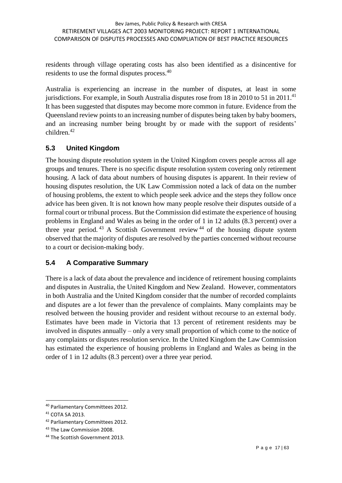residents through village operating costs has also been identified as a disincentive for residents to use the formal disputes process.<sup>40</sup>

Australia is experiencing an increase in the number of disputes, at least in some jurisdictions. For example, in South Australia disputes rose from  $18$  in  $2010$  to  $51$  in  $2011$ .<sup>41</sup> It has been suggested that disputes may become more common in future. Evidence from the Queensland review points to an increasing number of disputes being taken by baby boomers, and an increasing number being brought by or made with the support of residents' children. 42

#### **5.3 United Kingdom**

The housing dispute resolution system in the United Kingdom covers people across all age groups and tenures. There is no specific dispute resolution system covering only retirement housing. A lack of data about numbers of housing disputes is apparent. In their review of housing disputes resolution, the UK Law Commission noted a lack of data on the number of housing problems, the extent to which people seek advice and the steps they follow once advice has been given. It is not known how many people resolve their disputes outside of a formal court or tribunal process. But the Commission did estimate the experience of housing problems in England and Wales as being in the order of 1 in 12 adults (8.3 percent) over a three year period.<sup>43</sup> A Scottish Government review<sup>44</sup> of the housing dispute system observed that the majority of disputes are resolved by the parties concerned without recourse to a court or decision-making body.

#### **5.4 A Comparative Summary**

There is a lack of data about the prevalence and incidence of retirement housing complaints and disputes in Australia, the United Kingdom and New Zealand. However, commentators in both Australia and the United Kingdom consider that the number of recorded complaints and disputes are a lot fewer than the prevalence of complaints. Many complaints may be resolved between the housing provider and resident without recourse to an external body. Estimates have been made in Victoria that 13 percent of retirement residents may be involved in disputes annually – only a very small proportion of which come to the notice of any complaints or disputes resolution service. In the United Kingdom the Law Commission has estimated the experience of housing problems in England and Wales as being in the order of 1 in 12 adults (8.3 percent) over a three year period.

<sup>40</sup> Parliamentary Committees 2012.

<sup>41</sup> COTA SA 2013.

<sup>42</sup> Parliamentary Committees 2012.

<sup>&</sup>lt;sup>43</sup> The Law Commission 2008.

<sup>44</sup> The Scottish Government 2013.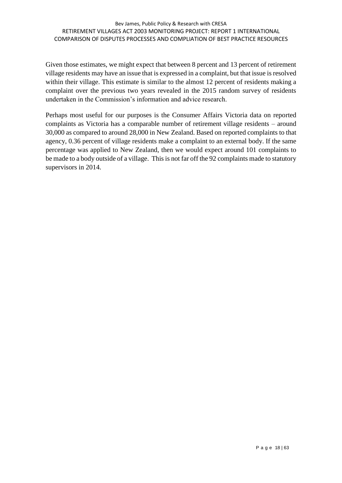#### Bev James, Public Policy & Research with CRESA RETIREMENT VILLAGES ACT 2003 MONITORING PROJECT: REPORT 1 INTERNATIONAL COMPARISON OF DISPUTES PROCESSES AND COMPLIATION OF BEST PRACTICE RESOURCES

Given those estimates, we might expect that between 8 percent and 13 percent of retirement village residents may have an issue that is expressed in a complaint, but that issue is resolved within their village. This estimate is similar to the almost 12 percent of residents making a complaint over the previous two years revealed in the 2015 random survey of residents undertaken in the Commission's information and advice research.

Perhaps most useful for our purposes is the Consumer Affairs Victoria data on reported complaints as Victoria has a comparable number of retirement village residents – around 30,000 as compared to around 28,000 in New Zealand. Based on reported complaints to that agency, 0.36 percent of village residents make a complaint to an external body. If the same percentage was applied to New Zealand, then we would expect around 101 complaints to be made to a body outside of a village. This is not far off the 92 complaints made to statutory supervisors in 2014.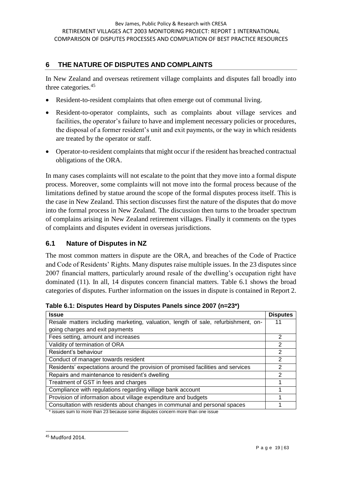### **6 THE NATURE OF DISPUTES AND COMPLAINTS**

In New Zealand and overseas retirement village complaints and disputes fall broadly into three categories.<sup>45</sup>

- Resident-to-resident complaints that often emerge out of communal living.
- Resident-to-operator complaints, such as complaints about village services and facilities, the operator's failure to have and implement necessary policies or procedures, the disposal of a former resident's unit and exit payments, or the way in which residents are treated by the operator or staff.
- Operator-to-resident complaints that might occur if the resident has breached contractual obligations of the ORA.

In many cases complaints will not escalate to the point that they move into a formal dispute process. Moreover, some complaints will not move into the formal process because of the limitations defined by statue around the scope of the formal disputes process itself. This is the case in New Zealand. This section discusses first the nature of the disputes that do move into the formal process in New Zealand. The discussion then turns to the broader spectrum of complains arising in New Zealand retirement villages. Finally it comments on the types of complaints and disputes evident in overseas jurisdictions.

#### **6.1 Nature of Disputes in NZ**

The most common matters in dispute are the ORA, and breaches of the Code of Practice and Code of Residents' Rights. Many disputes raise multiple issues. In the 23 disputes since 2007 financial matters, particularly around resale of the dwelling's occupation right have dominated (11). In all, 14 disputes concern financial matters. Table 6.1 shows the broad categories of disputes. Further information on the issues in dispute is contained in Report 2.

| <b>Issue</b>                                                                      | <b>Disputes</b> |
|-----------------------------------------------------------------------------------|-----------------|
| Resale matters including marketing, valuation, length of sale, refurbishment, on- | 11              |
| going charges and exit payments                                                   |                 |
| Fees setting, amount and increases                                                | 2               |
| Validity of termination of ORA                                                    | $\overline{2}$  |
| Resident's behaviour                                                              | 2               |
| Conduct of manager towards resident                                               | 2               |
| Residents' expectations around the provision of promised facilities and services  | $\mathcal{P}$   |
| Repairs and maintenance to resident's dwelling                                    | $\mathcal{P}$   |
| Treatment of GST in fees and charges                                              |                 |
| Compliance with regulations regarding village bank account                        |                 |
| Provision of information about village expenditure and budgets                    |                 |
| Consultation with residents about changes in communal and personal spaces         |                 |

**Table 6.1: Disputes Heard by Disputes Panels since 2007 (n=23\*)**

\* issues sum to more than 23 because some disputes concern more than one issue

<sup>45</sup> Mudford 2014.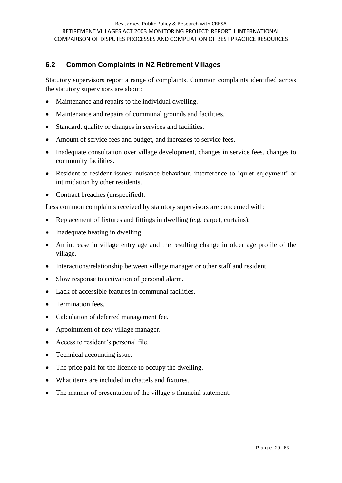#### **6.2 Common Complaints in NZ Retirement Villages**

Statutory supervisors report a range of complaints. Common complaints identified across the statutory supervisors are about:

- Maintenance and repairs to the individual dwelling.
- Maintenance and repairs of communal grounds and facilities.
- Standard, quality or changes in services and facilities.
- Amount of service fees and budget, and increases to service fees.
- Inadequate consultation over village development, changes in service fees, changes to community facilities.
- Resident-to-resident issues: nuisance behaviour, interference to 'quiet enjoyment' or intimidation by other residents.
- Contract breaches (unspecified).

Less common complaints received by statutory supervisors are concerned with:

- Replacement of fixtures and fittings in dwelling (e.g. carpet, curtains).
- Inadequate heating in dwelling.
- An increase in village entry age and the resulting change in older age profile of the village.
- Interactions/relationship between village manager or other staff and resident.
- Slow response to activation of personal alarm.
- Lack of accessible features in communal facilities.
- Termination fees.
- Calculation of deferred management fee.
- Appointment of new village manager.
- Access to resident's personal file.
- Technical accounting issue.
- The price paid for the licence to occupy the dwelling.
- What items are included in chattels and fixtures.
- The manner of presentation of the village's financial statement.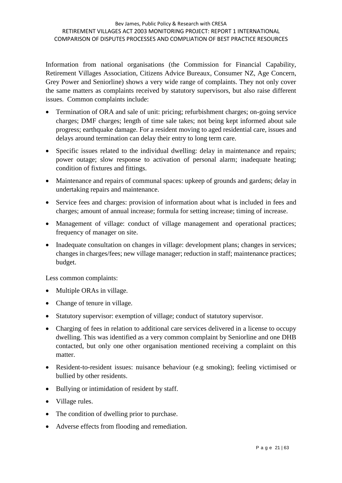Information from national organisations (the Commission for Financial Capability, Retirement Villages Association, Citizens Advice Bureaux, Consumer NZ, Age Concern, Grey Power and Seniorline) shows a very wide range of complaints. They not only cover the same matters as complaints received by statutory supervisors, but also raise different issues. Common complaints include:

- Termination of ORA and sale of unit: pricing; refurbishment charges; on-going service charges; DMF charges; length of time sale takes; not being kept informed about sale progress; earthquake damage. For a resident moving to aged residential care, issues and delays around termination can delay their entry to long term care.
- Specific issues related to the individual dwelling: delay in maintenance and repairs; power outage; slow response to activation of personal alarm; inadequate heating; condition of fixtures and fittings.
- Maintenance and repairs of communal spaces: upkeep of grounds and gardens; delay in undertaking repairs and maintenance.
- Service fees and charges: provision of information about what is included in fees and charges; amount of annual increase; formula for setting increase; timing of increase.
- Management of village: conduct of village management and operational practices; frequency of manager on site.
- Inadequate consultation on changes in village: development plans; changes in services; changes in charges/fees; new village manager; reduction in staff; maintenance practices; budget.

Less common complaints:

- Multiple ORAs in village.
- Change of tenure in village.
- Statutory supervisor: exemption of village; conduct of statutory supervisor.
- Charging of fees in relation to additional care services delivered in a license to occupy dwelling. This was identified as a very common complaint by Seniorline and one DHB contacted, but only one other organisation mentioned receiving a complaint on this matter.
- Resident-to-resident issues: nuisance behaviour (e.g smoking); feeling victimised or bullied by other residents.
- Bullying or intimidation of resident by staff.
- Village rules.
- The condition of dwelling prior to purchase.
- Adverse effects from flooding and remediation.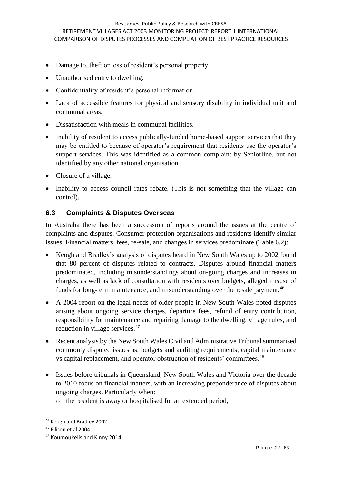- Damage to, theft or loss of resident's personal property.
- Unauthorised entry to dwelling.
- Confidentiality of resident's personal information.
- Lack of accessible features for physical and sensory disability in individual unit and communal areas.
- Dissatisfaction with meals in communal facilities.
- Inability of resident to access publically-funded home-based support services that they may be entitled to because of operator's requirement that residents use the operator's support services. This was identified as a common complaint by Seniorline, but not identified by any other national organisation.
- Closure of a village.
- Inability to access council rates rebate. (This is not something that the village can control).

#### **6.3 Complaints & Disputes Overseas**

In Australia there has been a succession of reports around the issues at the centre of complaints and disputes. Consumer protection organisations and residents identify similar issues. Financial matters, fees, re-sale, and changes in services predominate (Table 6.2):

- Keogh and Bradley's analysis of disputes heard in New South Wales up to 2002 found that 80 percent of disputes related to contracts. Disputes around financial matters predominated, including misunderstandings about on-going charges and increases in charges, as well as lack of consultation with residents over budgets, alleged misuse of funds for long-term maintenance, and misunderstanding over the resale payment.<sup>46</sup>
- A 2004 report on the legal needs of older people in New South Wales noted disputes arising about ongoing service charges, departure fees, refund of entry contribution, responsibility for maintenance and repairing damage to the dwelling, village rules, and reduction in village services.<sup>47</sup>
- Recent analysis by the New South Wales Civil and Administrative Tribunal summarised commonly disputed issues as: budgets and auditing requirements; capital maintenance vs capital replacement, and operator obstruction of residents' committees.<sup>48</sup>
- Issues before tribunals in Queensland, New South Wales and Victoria over the decade to 2010 focus on financial matters, with an increasing preponderance of disputes about ongoing charges. Particularly when:
	- o the resident is away or hospitalised for an extended period,

<sup>46</sup> Keogh and Bradley 2002.

<sup>47</sup> Ellison et al 2004.

<sup>48</sup> Koumoukelis and Kinny 2014.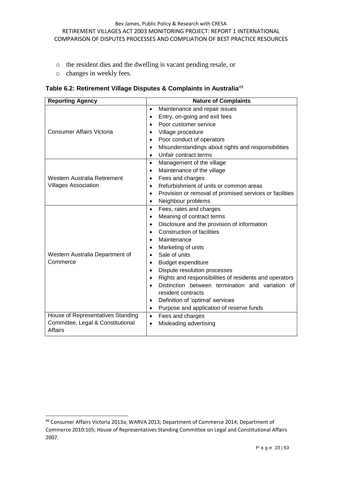- o the resident dies and the dwelling is vacant pending resale, or
- o changes in weekly fees.

**Table 6.2: Retirement Village Disputes & Complaints in Australia**<sup>49</sup>

| <b>Reporting Agency</b>                             | <b>Nature of Complaints</b>                                          |
|-----------------------------------------------------|----------------------------------------------------------------------|
|                                                     | Maintenance and repair issues<br>$\bullet$                           |
|                                                     | Entry, on-going and exit fees<br>$\bullet$                           |
|                                                     | Poor customer service<br>$\bullet$                                   |
| Consumer Affairs Victoria                           | Village procedure<br>$\bullet$                                       |
|                                                     | Poor conduct of operators<br>$\bullet$                               |
|                                                     | Misunderstandings about rights and responsibilities<br>$\bullet$     |
|                                                     | Unfair contract terms<br>$\bullet$                                   |
|                                                     | Management of the village<br>$\bullet$                               |
|                                                     | Maintenance of the village<br>$\bullet$                              |
| Western Australia Retirement                        | Fees and charges<br>٠                                                |
| <b>Villages Association</b>                         | Refurbishment of units or common areas<br>$\bullet$                  |
|                                                     | Provision or removal of promised services or facilities<br>$\bullet$ |
|                                                     | Neighbour problems<br>$\bullet$                                      |
|                                                     | Fees, rates and charges<br>$\bullet$                                 |
|                                                     | Meaning of contract terms<br>$\bullet$                               |
|                                                     | Disclosure and the provision of information<br>$\bullet$             |
|                                                     | <b>Construction of facilities</b><br>$\bullet$                       |
|                                                     | Maintenance<br>$\bullet$                                             |
|                                                     | Marketing of units<br>$\bullet$                                      |
| Western Australia Department of                     | Sale of units<br>$\bullet$                                           |
| Commerce                                            | <b>Budget expenditure</b><br>$\bullet$                               |
|                                                     | Dispute resolution processes<br>$\bullet$                            |
|                                                     | Rights and responsibilities of residents and operators<br>$\bullet$  |
|                                                     | Distinction between termination and variation of                     |
|                                                     | resident contracts                                                   |
|                                                     | Definition of 'optimal' services<br>$\bullet$                        |
|                                                     | Purpose and application of reserve funds<br>$\bullet$                |
| House of Representatives Standing                   | Fees and charges<br>$\bullet$                                        |
| Committee, Legal & Constitutional<br><b>Affairs</b> | Misleading advertising<br>$\bullet$                                  |

<sup>49</sup> Consumer Affairs Victoria 2013a; WARVA 2013; Department of Commerce 2014; Department of Commerce 2010:105; House of Representatives Standing Committee on Legal and Constitutional Affairs 2007.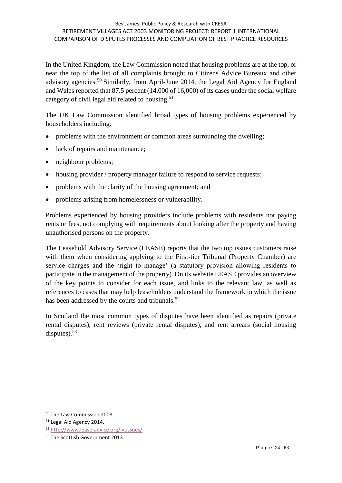#### Bev James, Public Policy & Research with CRESA RETIREMENT VILLAGES ACT 2003 MONITORING PROJECT: REPORT 1 INTERNATIONAL COMPARISON OF DISPUTES PROCESSES AND COMPLIATION OF BEST PRACTICE RESOURCES

In the United Kingdom, the Law Commission noted that housing problems are at the top, or near the top of the list of all complaints brought to Citizens Advice Bureaux and other advisory agencies.<sup>50</sup> Similarly, from April-June 2014, the Legal Aid Agency for England and Wales reported that 87.5 percent (14,000 of 16,000) of its cases under the social welfare category of civil legal aid related to housing.<sup>51</sup>

The UK Law Commission identified broad types of housing problems experienced by householders including:

- problems with the environment or common areas surrounding the dwelling;
- lack of repairs and maintenance;
- neighbour problems;
- housing provider / property manager failure to respond to service requests;
- problems with the clarity of the housing agreement; and
- problems arising from homelessness or vulnerability.

Problems experienced by housing providers include problems with residents not paying rents or fees, not complying with requirements about looking after the property and having unauthorised persons on the property.

The Leasehold Advisory Service (LEASE) reports that the two top issues customers raise with them when considering applying to the First-tier Tribunal (Property Chamber) are service charges and the 'right to manage' (a statutory provision allowing residents to participate in the management of the property). On its website LEASE provides an overview of the key points to consider for each issue, and links to the relevant law, as well as references to cases that may help leaseholders understand the framework in which the issue has been addressed by the courts and tribunals.<sup>52</sup>

In Scotland the most common types of disputes have been identified as repairs (private rental disputes), rent reviews (private rental disputes), and rent arrears (social housing disputes). $53$ 

<sup>50</sup> The Law Commission 2008.

<sup>&</sup>lt;sup>51</sup> Legal Aid Agency 2014.

<sup>52</sup> <http://www.lease-advice.org/lvtissues/>

<sup>&</sup>lt;sup>53</sup> The Scottish Government 2013.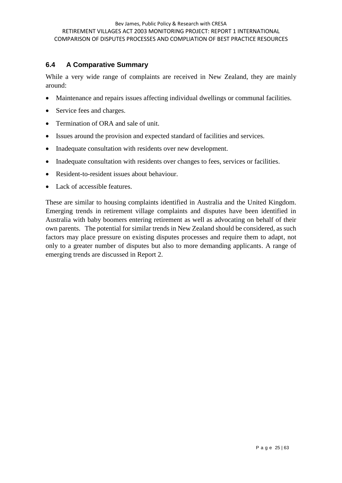### **6.4 A Comparative Summary**

While a very wide range of complaints are received in New Zealand, they are mainly around:

- Maintenance and repairs issues affecting individual dwellings or communal facilities.
- Service fees and charges.
- Termination of ORA and sale of unit.
- Issues around the provision and expected standard of facilities and services.
- Inadequate consultation with residents over new development.
- Inadequate consultation with residents over changes to fees, services or facilities.
- Resident-to-resident issues about behaviour.
- Lack of accessible features.

These are similar to housing complaints identified in Australia and the United Kingdom. Emerging trends in retirement village complaints and disputes have been identified in Australia with baby boomers entering retirement as well as advocating on behalf of their own parents. The potential for similar trends in New Zealand should be considered, as such factors may place pressure on existing disputes processes and require them to adapt, not only to a greater number of disputes but also to more demanding applicants. A range of emerging trends are discussed in Report 2.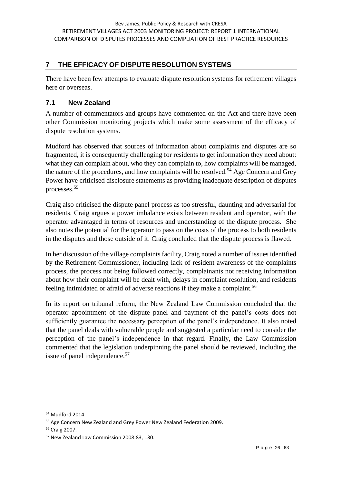# **7 THE EFFICACY OF DISPUTE RESOLUTION SYSTEMS**

There have been few attempts to evaluate dispute resolution systems for retirement villages here or overseas.

#### **7.1 New Zealand**

A number of commentators and groups have commented on the Act and there have been other Commission monitoring projects which make some assessment of the efficacy of dispute resolution systems.

Mudford has observed that sources of information about complaints and disputes are so fragmented, it is consequently challenging for residents to get information they need about: what they can complain about, who they can complain to, how complaints will be managed, the nature of the procedures, and how complaints will be resolved.<sup>54</sup> Age Concern and Grey Power have criticised disclosure statements as providing inadequate description of disputes processes.<sup>55</sup>

Craig also criticised the dispute panel process as too stressful, daunting and adversarial for residents. Craig argues a power imbalance exists between resident and operator, with the operator advantaged in terms of resources and understanding of the dispute process. She also notes the potential for the operator to pass on the costs of the process to both residents in the disputes and those outside of it. Craig concluded that the dispute process is flawed.

In her discussion of the village complaints facility, Craig noted a number of issues identified by the Retirement Commissioner, including lack of resident awareness of the complaints process, the process not being followed correctly, complainants not receiving information about how their complaint will be dealt with, delays in complaint resolution, and residents feeling intimidated or afraid of adverse reactions if they make a complaint.<sup>56</sup>

In its report on tribunal reform, the New Zealand Law Commission concluded that the operator appointment of the dispute panel and payment of the panel's costs does not sufficiently guarantee the necessary perception of the panel's independence. It also noted that the panel deals with vulnerable people and suggested a particular need to consider the perception of the panel's independence in that regard. Finally, the Law Commission commented that the legislation underpinning the panel should be reviewed, including the issue of panel independence.<sup>57</sup>

<sup>54</sup> Mudford 2014.

<sup>&</sup>lt;sup>55</sup> Age Concern New Zealand and Grey Power New Zealand Federation 2009.

<sup>56</sup> Craig 2007.

<sup>&</sup>lt;sup>57</sup> New Zealand Law Commission 2008:83, 130.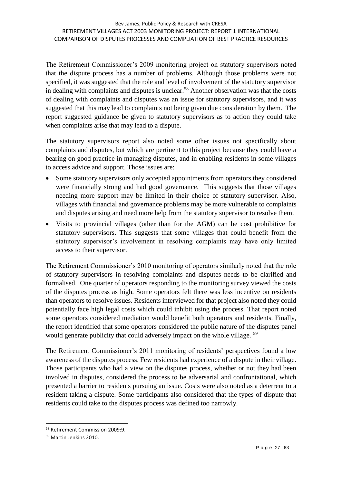The Retirement Commissioner's 2009 monitoring project on statutory supervisors noted that the dispute process has a number of problems. Although those problems were not specified, it was suggested that the role and level of involvement of the statutory supervisor in dealing with complaints and disputes is unclear.<sup>58</sup> Another observation was that the costs of dealing with complaints and disputes was an issue for statutory supervisors, and it was suggested that this may lead to complaints not being given due consideration by them. The report suggested guidance be given to statutory supervisors as to action they could take when complaints arise that may lead to a dispute.

The statutory supervisors report also noted some other issues not specifically about complaints and disputes, but which are pertinent to this project because they could have a bearing on good practice in managing disputes, and in enabling residents in some villages to access advice and support. Those issues are:

- Some statutory supervisors only accepted appointments from operators they considered were financially strong and had good governance. This suggests that those villages needing more support may be limited in their choice of statutory supervisor. Also, villages with financial and governance problems may be more vulnerable to complaints and disputes arising and need more help from the statutory supervisor to resolve them.
- Visits to provincial villages (other than for the AGM) can be cost prohibitive for statutory supervisors. This suggests that some villages that could benefit from the statutory supervisor's involvement in resolving complaints may have only limited access to their supervisor.

The Retirement Commissioner's 2010 monitoring of operators similarly noted that the role of statutory supervisors in resolving complaints and disputes needs to be clarified and formalised. One quarter of operators responding to the monitoring survey viewed the costs of the disputes process as high. Some operators felt there was less incentive on residents than operators to resolve issues. Residents interviewed for that project also noted they could potentially face high legal costs which could inhibit using the process. That report noted some operators considered mediation would benefit both operators and residents. Finally, the report identified that some operators considered the public nature of the disputes panel would generate publicity that could adversely impact on the whole village. <sup>59</sup>

The Retirement Commissioner's 2011 monitoring of residents' perspectives found a low awareness of the disputes process. Few residents had experience of a dispute in their village. Those participants who had a view on the disputes process, whether or not they had been involved in disputes, considered the process to be adversarial and confrontational, which presented a barrier to residents pursuing an issue. Costs were also noted as a deterrent to a resident taking a dispute. Some participants also considered that the types of dispute that residents could take to the disputes process was defined too narrowly.

<sup>58</sup> Retirement Commission 2009:9.

<sup>59</sup> Martin Jenkins 2010.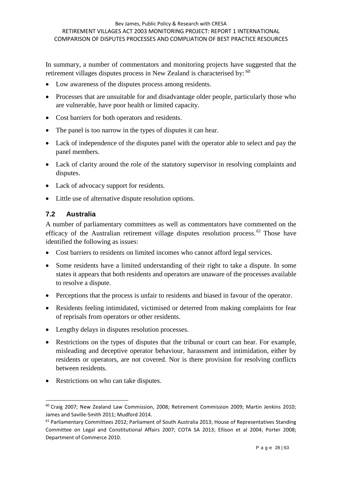In summary, a number of commentators and monitoring projects have suggested that the retirement villages disputes process in New Zealand is characterised by: <sup>60</sup>

- Low awareness of the disputes process among residents.
- Processes that are unsuitable for and disadvantage older people, particularly those who are vulnerable, have poor health or limited capacity.
- Cost barriers for both operators and residents.
- The panel is too narrow in the types of disputes it can hear.
- Lack of independence of the disputes panel with the operator able to select and pay the panel members.
- Lack of clarity around the role of the statutory supervisor in resolving complaints and disputes.
- Lack of advocacy support for residents.
- Little use of alternative dispute resolution options.

#### **7.2 Australia**

-

A number of parliamentary committees as well as commentators have commented on the efficacy of the Australian retirement village disputes resolution process.<sup>61</sup> Those have identified the following as issues:

- Cost barriers to residents on limited incomes who cannot afford legal services.
- Some residents have a limited understanding of their right to take a dispute. In some states it appears that both residents and operators are unaware of the processes available to resolve a dispute.
- Perceptions that the process is unfair to residents and biased in favour of the operator.
- Residents feeling intimidated, victimised or deterred from making complaints for fear of reprisals from operators or other residents.
- Lengthy delays in disputes resolution processes.
- Restrictions on the types of disputes that the tribunal or court can hear. For example, misleading and deceptive operator behaviour, harassment and intimidation, either by residents or operators, are not covered. Nor is there provision for resolving conflicts between residents.
- Restrictions on who can take disputes.

<sup>60</sup> Craig 2007; New Zealand Law Commission, 2008; Retirement Commission 2009; Martin Jenkins 2010; James and Saville-Smith 2011; Mudford 2014.

 $61$  Parliamentary Committees 2012; Parliament of South Australia 2013; House of Representatives Standing Committee on Legal and Constitutional Affairs 2007; COTA SA 2013; Ellison et al 2004; Porter 2008; Department of Commerce 2010.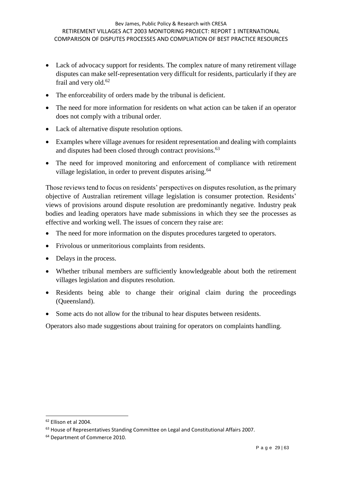- Lack of advocacy support for residents. The complex nature of many retirement village disputes can make self-representation very difficult for residents, particularly if they are frail and very old.<sup>62</sup>
- The enforceability of orders made by the tribunal is deficient.
- The need for more information for residents on what action can be taken if an operator does not comply with a tribunal order.
- Lack of alternative dispute resolution options.
- Examples where village avenues for resident representation and dealing with complaints and disputes had been closed through contract provisions.<sup>63</sup>
- The need for improved monitoring and enforcement of compliance with retirement village legislation, in order to prevent disputes arising.<sup>64</sup>

Those reviews tend to focus on residents' perspectives on disputes resolution, as the primary objective of Australian retirement village legislation is consumer protection. Residents' views of provisions around dispute resolution are predominantly negative. Industry peak bodies and leading operators have made submissions in which they see the processes as effective and working well. The issues of concern they raise are:

- The need for more information on the disputes procedures targeted to operators.
- Frivolous or unmeritorious complaints from residents.
- Delays in the process.
- Whether tribunal members are sufficiently knowledgeable about both the retirement villages legislation and disputes resolution.
- Residents being able to change their original claim during the proceedings (Queensland).
- Some acts do not allow for the tribunal to hear disputes between residents.

Operators also made suggestions about training for operators on complaints handling.

<sup>62</sup> Ellison et al 2004.

<sup>&</sup>lt;sup>63</sup> House of Representatives Standing Committee on Legal and Constitutional Affairs 2007.

<sup>&</sup>lt;sup>64</sup> Department of Commerce 2010.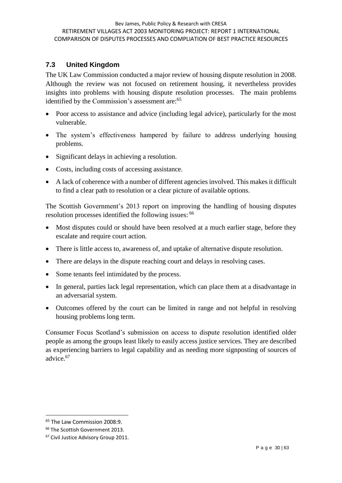#### **7.3 United Kingdom**

The UK Law Commission conducted a major review of housing dispute resolution in 2008. Although the review was not focused on retirement housing, it nevertheless provides insights into problems with housing dispute resolution processes. The main problems identified by the Commission's assessment are:<sup>65</sup>

- Poor access to assistance and advice (including legal advice), particularly for the most vulnerable.
- The system's effectiveness hampered by failure to address underlying housing problems.
- Significant delays in achieving a resolution.
- Costs, including costs of accessing assistance.
- A lack of coherence with a number of different agencies involved. This makes it difficult to find a clear path to resolution or a clear picture of available options.

The Scottish Government's 2013 report on improving the handling of housing disputes resolution processes identified the following issues: <sup>66</sup>

- Most disputes could or should have been resolved at a much earlier stage, before they escalate and require court action.
- There is little access to, awareness of, and uptake of alternative dispute resolution.
- There are delays in the dispute reaching court and delays in resolving cases.
- Some tenants feel intimidated by the process.
- In general, parties lack legal representation, which can place them at a disadvantage in an adversarial system.
- Outcomes offered by the court can be limited in range and not helpful in resolving housing problems long term.

Consumer Focus Scotland's submission on access to dispute resolution identified older people as among the groups least likely to easily access justice services. They are described as experiencing barriers to legal capability and as needing more signposting of sources of advice.<sup>67</sup>

<sup>&</sup>lt;sup>65</sup> The Law Commission 2008:9.

<sup>&</sup>lt;sup>66</sup> The Scottish Government 2013.

<sup>&</sup>lt;sup>67</sup> Civil Justice Advisory Group 2011.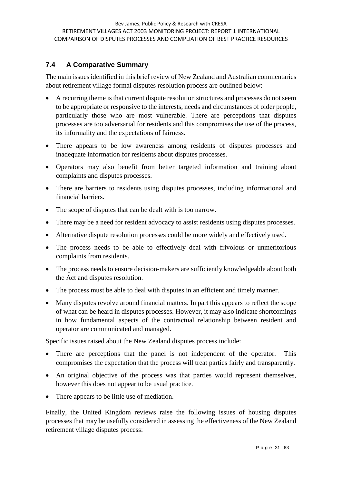## **7.4 A Comparative Summary**

The main issues identified in this brief review of New Zealand and Australian commentaries about retirement village formal disputes resolution process are outlined below:

- A recurring theme is that current dispute resolution structures and processes do not seem to be appropriate or responsive to the interests, needs and circumstances of older people, particularly those who are most vulnerable. There are perceptions that disputes processes are too adversarial for residents and this compromises the use of the process, its informality and the expectations of fairness.
- There appears to be low awareness among residents of disputes processes and inadequate information for residents about disputes processes.
- Operators may also benefit from better targeted information and training about complaints and disputes processes.
- There are barriers to residents using disputes processes, including informational and financial barriers.
- The scope of disputes that can be dealt with is too narrow.
- There may be a need for resident advocacy to assist residents using disputes processes.
- Alternative dispute resolution processes could be more widely and effectively used.
- The process needs to be able to effectively deal with frivolous or unmeritorious complaints from residents.
- The process needs to ensure decision-makers are sufficiently knowledgeable about both the Act and disputes resolution.
- The process must be able to deal with disputes in an efficient and timely manner.
- Many disputes revolve around financial matters. In part this appears to reflect the scope of what can be heard in disputes processes. However, it may also indicate shortcomings in how fundamental aspects of the contractual relationship between resident and operator are communicated and managed.

Specific issues raised about the New Zealand disputes process include:

- There are perceptions that the panel is not independent of the operator. This compromises the expectation that the process will treat parties fairly and transparently.
- An original objective of the process was that parties would represent themselves, however this does not appear to be usual practice.
- There appears to be little use of mediation.

Finally, the United Kingdom reviews raise the following issues of housing disputes processes that may be usefully considered in assessing the effectiveness of the New Zealand retirement village disputes process: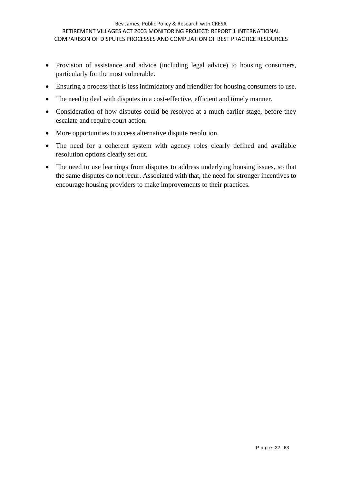- Provision of assistance and advice (including legal advice) to housing consumers, particularly for the most vulnerable.
- Ensuring a process that is less intimidatory and friendlier for housing consumers to use.
- The need to deal with disputes in a cost-effective, efficient and timely manner.
- Consideration of how disputes could be resolved at a much earlier stage, before they escalate and require court action.
- More opportunities to access alternative dispute resolution.
- The need for a coherent system with agency roles clearly defined and available resolution options clearly set out.
- The need to use learnings from disputes to address underlying housing issues, so that the same disputes do not recur. Associated with that, the need for stronger incentives to encourage housing providers to make improvements to their practices.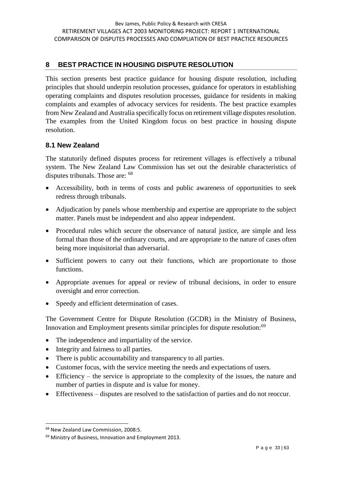### **8 BEST PRACTICE IN HOUSING DISPUTE RESOLUTION**

This section presents best practice guidance for housing dispute resolution, including principles that should underpin resolution processes, guidance for operators in establishing operating complaints and disputes resolution processes, guidance for residents in making complaints and examples of advocacy services for residents. The best practice examples from New Zealand and Australia specifically focus on retirement village disputes resolution. The examples from the United Kingdom focus on best practice in housing dispute resolution.

#### **8.1 New Zealand**

The statutorily defined disputes process for retirement villages is effectively a tribunal system. The New Zealand Law Commission has set out the desirable characteristics of disputes tribunals. Those are: <sup>68</sup>

- Accessibility, both in terms of costs and public awareness of opportunities to seek redress through tribunals.
- Adjudication by panels whose membership and expertise are appropriate to the subject matter. Panels must be independent and also appear independent.
- Procedural rules which secure the observance of natural justice, are simple and less formal than those of the ordinary courts, and are appropriate to the nature of cases often being more inquisitorial than adversarial.
- Sufficient powers to carry out their functions, which are proportionate to those functions.
- Appropriate avenues for appeal or review of tribunal decisions, in order to ensure oversight and error correction.
- Speedy and efficient determination of cases.

The Government Centre for Dispute Resolution (GCDR) in the Ministry of Business, Innovation and Employment presents similar principles for dispute resolution:<sup>69</sup>

- The independence and impartiality of the service.
- Integrity and fairness to all parties.
- There is public accountability and transparency to all parties.
- Customer focus, with the service meeting the needs and expectations of users.
- Efficiency the service is appropriate to the complexity of the issues, the nature and number of parties in dispute and is value for money.
- Effectiveness disputes are resolved to the satisfaction of parties and do not reoccur.

<sup>68</sup> New Zealand Law Commission, 2008:5.

<sup>&</sup>lt;sup>69</sup> Ministry of Business, Innovation and Employment 2013.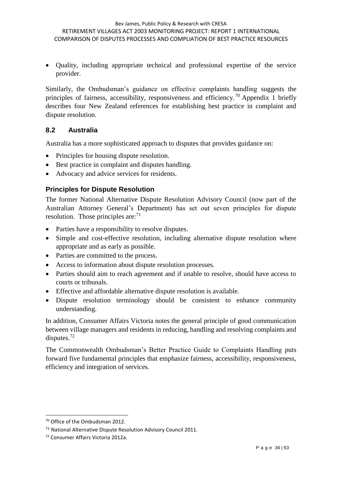Quality, including appropriate technical and professional expertise of the service provider.

Similarly, the Ombudsman's guidance on effective complaints handling suggests the principles of fairness, accessibility, responsiveness and efficiency.<sup>70</sup> Appendix 1 briefly describes four New Zealand references for establishing best practice in complaint and dispute resolution.

#### **8.2 Australia**

Australia has a more sophisticated approach to disputes that provides guidance on:

- Principles for housing dispute resolution.
- Best practice in complaint and disputes handling.
- Advocacy and advice services for residents.

#### **Principles for Dispute Resolution**

The former National Alternative Dispute Resolution Advisory Council (now part of the Australian Attorney General's Department) has set out seven principles for dispute resolution. Those principles are: $71$ 

- Parties have a responsibility to resolve disputes.
- Simple and cost-effective resolution, including alternative dispute resolution where appropriate and as early as possible.
- Parties are committed to the process.
- Access to information about dispute resolution processes.
- Parties should aim to reach agreement and if unable to resolve, should have access to courts or tribunals.
- Effective and affordable alternative dispute resolution is available.
- Dispute resolution terminology should be consistent to enhance community understanding.

In addition, Consumer Affairs Victoria notes the general principle of good communication between village managers and residents in reducing, handling and resolving complaints and disputes.<sup>72</sup>

The Commonwealth Ombudsman's Better Practice Guide to Complaints Handling puts forward five fundamental principles that emphasize fairness, accessibility, responsiveness, efficiency and integration of services.

<sup>70</sup> Office of the Ombudsman 2012.

<sup>71</sup> National Alternative Dispute Resolution Advisory Council 2011.

<sup>72</sup> Consumer Affairs Victoria 2012a.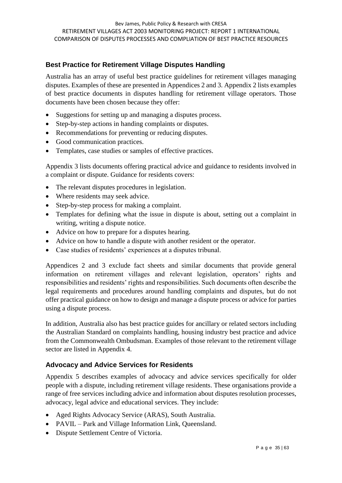## **Best Practice for Retirement Village Disputes Handling**

Australia has an array of useful best practice guidelines for retirement villages managing disputes. Examples of these are presented in Appendices 2 and 3. Appendix 2 lists examples of best practice documents in disputes handling for retirement village operators. Those documents have been chosen because they offer:

- Suggestions for setting up and managing a disputes process.
- Step-by-step actions in handing complaints or disputes.
- Recommendations for preventing or reducing disputes.
- Good communication practices.
- Templates, case studies or samples of effective practices.

Appendix 3 lists documents offering practical advice and guidance to residents involved in a complaint or dispute. Guidance for residents covers:

- The relevant disputes procedures in legislation.
- Where residents may seek advice.
- Step-by-step process for making a complaint.
- Templates for defining what the issue in dispute is about, setting out a complaint in writing, writing a dispute notice.
- Advice on how to prepare for a disputes hearing.
- Advice on how to handle a dispute with another resident or the operator.
- Case studies of residents' experiences at a disputes tribunal.

Appendices 2 and 3 exclude fact sheets and similar documents that provide general information on retirement villages and relevant legislation, operators' rights and responsibilities and residents' rights and responsibilities. Such documents often describe the legal requirements and procedures around handling complaints and disputes, but do not offer practical guidance on how to design and manage a dispute process or advice for parties using a dispute process.

In addition, Australia also has best practice guides for ancillary or related sectors including the Australian Standard on complaints handling, housing industry best practice and advice from the Commonwealth Ombudsman. Examples of those relevant to the retirement village sector are listed in Appendix 4.

#### **Advocacy and Advice Services for Residents**

Appendix 5 describes examples of advocacy and advice services specifically for older people with a dispute, including retirement village residents. These organisations provide a range of free services including advice and information about disputes resolution processes, advocacy, legal advice and educational services. They include:

- Aged Rights Advocacy Service (ARAS), South Australia.
- PAVIL Park and Village Information Link, Queensland.
- Dispute Settlement Centre of Victoria.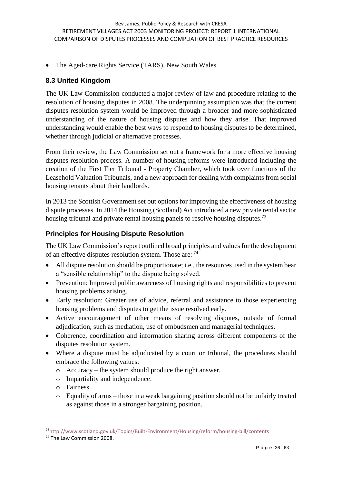• The Aged-care Rights Service (TARS), New South Wales.

#### **8.3 United Kingdom**

The UK Law Commission conducted a major review of law and procedure relating to the resolution of housing disputes in 2008. The underpinning assumption was that the current disputes resolution system would be improved through a broader and more sophisticated understanding of the nature of housing disputes and how they arise. That improved understanding would enable the best ways to respond to housing disputes to be determined, whether through judicial or alternative processes.

From their review, the Law Commission set out a framework for a more effective housing disputes resolution process. A number of housing reforms were introduced including the creation of the First Tier Tribunal - Property Chamber, which took over functions of the Leasehold Valuation Tribunals, and a new approach for dealing with complaints from social housing tenants about their landlords.

In 2013 the Scottish Government set out options for improving the effectiveness of housing dispute processes. In 2014 the Housing (Scotland) Act introduced a new private rental sector housing tribunal and private rental housing panels to resolve housing disputes.<sup>73</sup>

#### **Principles for Housing Dispute Resolution**

The UK Law Commission's report outlined broad principles and values for the development of an effective disputes resolution system. Those are:  $^{74}$ 

- All dispute resolution should be proportionate; i.e., the resources used in the system bear a "sensible relationship" to the dispute being solved.
- Prevention: Improved public awareness of housing rights and responsibilities to prevent housing problems arising.
- Early resolution: Greater use of advice, referral and assistance to those experiencing housing problems and disputes to get the issue resolved early.
- Active encouragement of other means of resolving disputes, outside of formal adjudication, such as mediation, use of ombudsmen and managerial techniques.
- Coherence, coordination and information sharing across different components of the disputes resolution system.
- Where a dispute must be adjudicated by a court or tribunal, the procedures should embrace the following values:
	- o Accuracy the system should produce the right answer.
	- o Impartiality and independence.
	- o Fairness.
	- o Equality of arms those in a weak bargaining position should not be unfairly treated as against those in a stronger bargaining position.

<sup>-</sup><sup>73</sup><http://www.scotland.gov.uk/Topics/Built-Environment/Housing/reform/housing-bill/contents>

<sup>74</sup> The Law Commission 2008.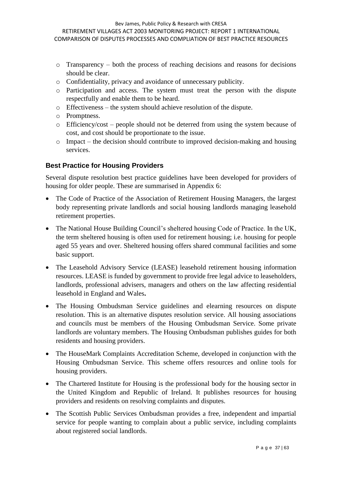- o Transparency both the process of reaching decisions and reasons for decisions should be clear.
- o Confidentiality, privacy and avoidance of unnecessary publicity.
- o Participation and access. The system must treat the person with the dispute respectfully and enable them to be heard.
- o Effectiveness the system should achieve resolution of the dispute.
- o Promptness.
- o Efficiency/cost people should not be deterred from using the system because of cost, and cost should be proportionate to the issue.
- o Impact the decision should contribute to improved decision-making and housing services.

#### **Best Practice for Housing Providers**

Several dispute resolution best practice guidelines have been developed for providers of housing for older people. These are summarised in Appendix 6:

- The Code of Practice of the Association of Retirement Housing Managers, the largest body representing private landlords and social housing landlords managing leasehold retirement properties.
- The National House Building Council's sheltered housing Code of Practice. In the UK, the term sheltered housing is often used for retirement housing; i.e. housing for people aged 55 years and over. Sheltered housing offers shared communal facilities and some basic support.
- The Leasehold Advisory Service (LEASE) leasehold retirement housing information resources. LEASE is funded by government to provide free legal advice to leaseholders, landlords, professional advisers, managers and others on the law affecting residential leasehold in England and Wales**.**
- The Housing Ombudsman Service guidelines and elearning resources on dispute resolution. This is an alternative disputes resolution service. All housing associations and councils must be members of the Housing Ombudsman Service. Some private landlords are voluntary members. The Housing Ombudsman publishes guides for both residents and housing providers.
- The HouseMark Complaints Accreditation Scheme, developed in conjunction with the Housing Ombudsman Service. This scheme offers resources and online tools for housing providers.
- The Chartered Institute for Housing is the professional body for the housing sector in the United Kingdom and Republic of Ireland. It publishes resources for housing providers and residents on resolving complaints and disputes.
- The Scottish Public Services Ombudsman provides a free, independent and impartial service for people wanting to complain about a public service, including complaints about registered social landlords.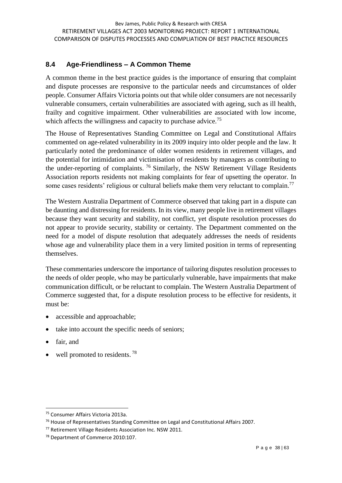## **8.4 Age-Friendliness – A Common Theme**

A common theme in the best practice guides is the importance of ensuring that complaint and dispute processes are responsive to the particular needs and circumstances of older people. Consumer Affairs Victoria points out that while older consumers are not necessarily vulnerable consumers, certain vulnerabilities are associated with ageing, such as ill health, frailty and cognitive impairment. Other vulnerabilities are associated with low income, which affects the willingness and capacity to purchase advice.<sup>75</sup>

The House of Representatives Standing Committee on Legal and Constitutional Affairs commented on age-related vulnerability in its 2009 inquiry into older people and the law. It particularly noted the predominance of older women residents in retirement villages, and the potential for intimidation and victimisation of residents by managers as contributing to the under-reporting of complaints. <sup>76</sup> Similarly, the NSW Retirement Village Residents Association reports residents not making complaints for fear of upsetting the operator. In some cases residents' religious or cultural beliefs make them very reluctant to complain.<sup>77</sup>

The Western Australia Department of Commerce observed that taking part in a dispute can be daunting and distressing for residents. In its view, many people live in retirement villages because they want security and stability, not conflict, yet dispute resolution processes do not appear to provide security, stability or certainty. The Department commented on the need for a model of dispute resolution that adequately addresses the needs of residents whose age and vulnerability place them in a very limited position in terms of representing themselves.

These commentaries underscore the importance of tailoring disputes resolution processes to the needs of older people, who may be particularly vulnerable, have impairments that make communication difficult, or be reluctant to complain. The Western Australia Department of Commerce suggested that, for a dispute resolution process to be effective for residents, it must be:

- accessible and approachable;
- take into account the specific needs of seniors;
- fair, and

1

well promoted to residents.<sup>78</sup>

<sup>75</sup> Consumer Affairs Victoria 2013a.

<sup>&</sup>lt;sup>76</sup> House of Representatives Standing Committee on Legal and Constitutional Affairs 2007.

<sup>77</sup> Retirement Village Residents Association Inc. NSW 2011.

<sup>78</sup> Department of Commerce 2010:107.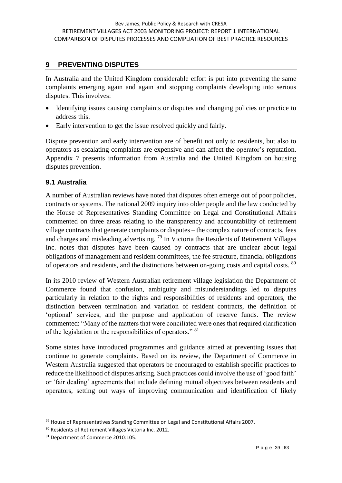#### **9 PREVENTING DISPUTES**

In Australia and the United Kingdom considerable effort is put into preventing the same complaints emerging again and again and stopping complaints developing into serious disputes. This involves:

- Identifying issues causing complaints or disputes and changing policies or practice to address this.
- Early intervention to get the issue resolved quickly and fairly.

Dispute prevention and early intervention are of benefit not only to residents, but also to operators as escalating complaints are expensive and can affect the operator's reputation. Appendix 7 presents information from Australia and the United Kingdom on housing disputes prevention.

#### **9.1 Australia**

A number of Australian reviews have noted that disputes often emerge out of poor policies, contracts or systems. The national 2009 inquiry into older people and the law conducted by the House of Representatives Standing Committee on Legal and Constitutional Affairs commented on three areas relating to the transparency and accountability of retirement village contracts that generate complaints or disputes – the complex nature of contracts, fees and charges and misleading advertising.  $^{79}$  In Victoria the Residents of Retirement Villages Inc. notes that disputes have been caused by contracts that are unclear about legal obligations of management and resident committees, the fee structure, financial obligations of operators and residents, and the distinctions between on-going costs and capital costs. <sup>80</sup>

In its 2010 review of Western Australian retirement village legislation the Department of Commerce found that confusion, ambiguity and misunderstandings led to disputes particularly in relation to the rights and responsibilities of residents and operators, the distinction between termination and variation of resident contracts, the definition of 'optional' services, and the purpose and application of reserve funds. The review commented: "Many of the matters that were conciliated were ones that required clarification of the legislation or the responsibilities of operators." <sup>81</sup>

Some states have introduced programmes and guidance aimed at preventing issues that continue to generate complaints. Based on its review, the Department of Commerce in Western Australia suggested that operators be encouraged to establish specific practices to reduce the likelihood of disputes arising. Such practices could involve the use of 'good faith' or 'fair dealing' agreements that include defining mutual objectives between residents and operators, setting out ways of improving communication and identification of likely

<sup>1</sup> <sup>79</sup> House of Representatives Standing Committee on Legal and Constitutional Affairs 2007.

<sup>80</sup> Residents of Retirement Villages Victoria Inc. 2012.

<sup>81</sup> Department of Commerce 2010:105.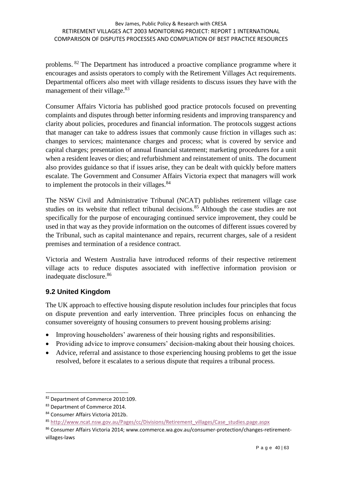problems. <sup>82</sup> The Department has introduced a proactive compliance programme where it encourages and assists operators to comply with the Retirement Villages Act requirements. Departmental officers also meet with village residents to discuss issues they have with the management of their village.<sup>83</sup>

Consumer Affairs Victoria has published good practice protocols focused on preventing complaints and disputes through better informing residents and improving transparency and clarity about policies, procedures and financial information. The protocols suggest actions that manager can take to address issues that commonly cause friction in villages such as: changes to services; maintenance charges and process; what is covered by service and capital charges; presentation of annual financial statement; marketing procedures for a unit when a resident leaves or dies; and refurbishment and reinstatement of units. The document also provides guidance so that if issues arise, they can be dealt with quickly before matters escalate. The Government and Consumer Affairs Victoria expect that managers will work to implement the protocols in their villages.<sup>84</sup>

The NSW Civil and Administrative Tribunal (NCAT) publishes retirement village case studies on its website that reflect tribunal decisions.<sup>85</sup> Although the case studies are not specifically for the purpose of encouraging continued service improvement, they could be used in that way as they provide information on the outcomes of different issues covered by the Tribunal, such as capital maintenance and repairs, recurrent charges, sale of a resident premises and termination of a residence contract.

Victoria and Western Australia have introduced reforms of their respective retirement village acts to reduce disputes associated with ineffective information provision or inadequate disclosure.<sup>86</sup>

## **9.2 United Kingdom**

The UK approach to effective housing dispute resolution includes four principles that focus on dispute prevention and early intervention. Three principles focus on enhancing the consumer sovereignty of housing consumers to prevent housing problems arising:

- Improving householders' awareness of their housing rights and responsibilities.
- Providing advice to improve consumers' decision-making about their housing choices.
- Advice, referral and assistance to those experiencing housing problems to get the issue resolved, before it escalates to a serious dispute that requires a tribunal process.

<sup>-</sup>82 Department of Commerce 2010:109.

<sup>83</sup> Department of Commerce 2014.

<sup>84</sup> Consumer Affairs Victoria 2012b.

<sup>85</sup> [http://www.ncat.nsw.gov.au/Pages/cc/Divisions/Retirement\\_villages/Case\\_studies.page.aspx](http://www.ncat.nsw.gov.au/Pages/cc/Divisions/Retirement_villages/Case_studies.page.aspx)

<sup>86</sup> Consumer Affairs Victoria 2014; www.commerce.wa.gov.au/consumer-protection/changes-retirementvillages-laws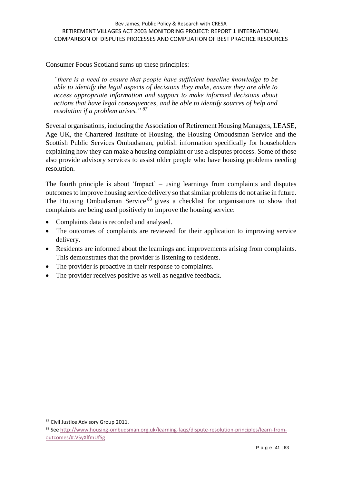Consumer Focus Scotland sums up these principles:

*"there is a need to ensure that people have sufficient baseline knowledge to be able to identify the legal aspects of decisions they make, ensure they are able to access appropriate information and support to make informed decisions about actions that have legal consequences, and be able to identify sources of help and resolution if a problem arises." <sup>87</sup>*

Several organisations, including the Association of Retirement Housing Managers, LEASE, Age UK, the Chartered Institute of Housing, the Housing Ombudsman Service and the Scottish Public Services Ombudsman, publish information specifically for householders explaining how they can make a housing complaint or use a disputes process. Some of those also provide advisory services to assist older people who have housing problems needing resolution.

The fourth principle is about 'Impact' – using learnings from complaints and disputes outcomes to improve housing service delivery so that similar problems do not arise in future. The Housing Ombudsman Service<sup>88</sup> gives a checklist for organisations to show that complaints are being used positively to improve the housing service:

- Complaints data is recorded and analysed.
- The outcomes of complaints are reviewed for their application to improving service delivery.
- Residents are informed about the learnings and improvements arising from complaints. This demonstrates that the provider is listening to residents.
- The provider is proactive in their response to complaints.
- The provider receives positive as well as negative feedback.

<sup>87</sup> Civil Justice Advisory Group 2011.

<sup>88</sup> See [http://www.housing-ombudsman.org.uk/learning-faqs/dispute-resolution-principles/learn-from](http://www.housing-ombudsman.org.uk/learning-faqs/dispute-resolution-principles/learn-from-outcomes/#.VSyXlfmUfSg)[outcomes/#.VSyXlfmUfSg](http://www.housing-ombudsman.org.uk/learning-faqs/dispute-resolution-principles/learn-from-outcomes/#.VSyXlfmUfSg)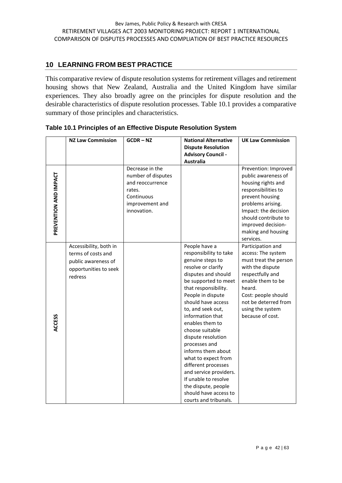#### **10 LEARNING FROM BEST PRACTICE**

This comparative review of dispute resolution systems for retirement villages and retirement housing shows that New Zealand, Australia and the United Kingdom have similar experiences. They also broadly agree on the principles for dispute resolution and the desirable characteristics of dispute resolution processes. Table 10.1 provides a comparative summary of those principles and characteristics.

|                       | <b>NZ Law Commission</b>                                                                                | $GCDR - NZ$                                                                                                         | <b>National Alternative</b><br><b>Dispute Resolution</b><br><b>Advisory Council -</b><br><b>Australia</b>                                                                                                                                                                                                                                                                                                                                                                                                                | <b>UK Law Commission</b>                                                                                                                                                                                                                  |
|-----------------------|---------------------------------------------------------------------------------------------------------|---------------------------------------------------------------------------------------------------------------------|--------------------------------------------------------------------------------------------------------------------------------------------------------------------------------------------------------------------------------------------------------------------------------------------------------------------------------------------------------------------------------------------------------------------------------------------------------------------------------------------------------------------------|-------------------------------------------------------------------------------------------------------------------------------------------------------------------------------------------------------------------------------------------|
| PREVENTION AND IMPACT |                                                                                                         | Decrease in the<br>number of disputes<br>and reoccurrence<br>rates.<br>Continuous<br>improvement and<br>innovation. |                                                                                                                                                                                                                                                                                                                                                                                                                                                                                                                          | Prevention: Improved<br>public awareness of<br>housing rights and<br>responsibilities to<br>prevent housing<br>problems arising.<br>Impact: the decision<br>should contribute to<br>improved decision-<br>making and housing<br>services. |
| <b>ACCESS</b>         | Accessibility, both in<br>terms of costs and<br>public awareness of<br>opportunities to seek<br>redress |                                                                                                                     | People have a<br>responsibility to take<br>genuine steps to<br>resolve or clarify<br>disputes and should<br>be supported to meet<br>that responsibility.<br>People in dispute<br>should have access<br>to, and seek out,<br>information that<br>enables them to<br>choose suitable<br>dispute resolution<br>processes and<br>informs them about<br>what to expect from<br>different processes<br>and service providers.<br>If unable to resolve<br>the dispute, people<br>should have access to<br>courts and tribunals. | Participation and<br>access: The system<br>must treat the person<br>with the dispute<br>respectfully and<br>enable them to be<br>heard.<br>Cost: people should<br>not be deterred from<br>using the system<br>because of cost.            |

|  |  |  | Table 10.1 Principles of an Effective Dispute Resolution System |  |
|--|--|--|-----------------------------------------------------------------|--|
|  |  |  |                                                                 |  |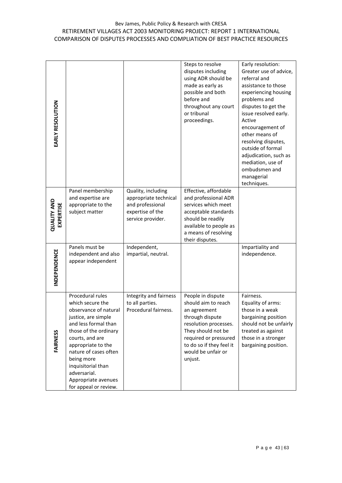#### Bev James, Public Policy & Research with CRESA RETIREMENT VILLAGES ACT 2003 MONITORING PROJECT: REPORT 1 INTERNATIONAL COMPARISON OF DISPUTES PROCESSES AND COMPLIATION OF BEST PRACTICE RESOURCES

| EARLY RESOLUTION                       |                                                                                                                                                                                                                                                                                                             |                                                                                                          | Steps to resolve<br>disputes including<br>using ADR should be<br>made as early as<br>possible and both<br>before and<br>throughout any court<br>or tribunal<br>proceedings.                                      | Early resolution:<br>Greater use of advice,<br>referral and<br>assistance to those<br>experiencing housing<br>problems and<br>disputes to get the<br>issue resolved early.<br>Active<br>encouragement of<br>other means of<br>resolving disputes,<br>outside of formal<br>adjudication, such as<br>mediation, use of<br>ombudsmen and<br>managerial<br>techniques. |
|----------------------------------------|-------------------------------------------------------------------------------------------------------------------------------------------------------------------------------------------------------------------------------------------------------------------------------------------------------------|----------------------------------------------------------------------------------------------------------|------------------------------------------------------------------------------------------------------------------------------------------------------------------------------------------------------------------|--------------------------------------------------------------------------------------------------------------------------------------------------------------------------------------------------------------------------------------------------------------------------------------------------------------------------------------------------------------------|
| <b>QUALITY AND</b><br><b>EXPERTISE</b> | Panel membership<br>and expertise are<br>appropriate to the<br>subject matter                                                                                                                                                                                                                               | Quality, including<br>appropriate technical<br>and professional<br>expertise of the<br>service provider. | Effective, affordable<br>and professional ADR<br>services which meet<br>acceptable standards<br>should be readily<br>available to people as<br>a means of resolving<br>their disputes.                           |                                                                                                                                                                                                                                                                                                                                                                    |
| INDEPENDENCE                           | Panels must be<br>independent and also<br>appear independent                                                                                                                                                                                                                                                | Independent,<br>impartial, neutral.                                                                      |                                                                                                                                                                                                                  | Impartiality and<br>independence.                                                                                                                                                                                                                                                                                                                                  |
| <b>FAIRNESS</b>                        | Procedural rules<br>which secure the<br>observance of natural<br>justice, are simple<br>and less formal than<br>those of the ordinary<br>courts, and are<br>appropriate to the<br>nature of cases often<br>being more<br>inquisitorial than<br>adversarial.<br>Appropriate avenues<br>for appeal or review. | Integrity and fairness<br>to all parties.<br>Procedural fairness.                                        | People in dispute<br>should aim to reach<br>an agreement<br>through dispute<br>resolution processes.<br>They should not be<br>required or pressured<br>to do so if they feel it<br>would be unfair or<br>unjust. | Fairness.<br>Equality of arms:<br>those in a weak<br>bargaining position<br>should not be unfairly<br>treated as against<br>those in a stronger<br>bargaining position.                                                                                                                                                                                            |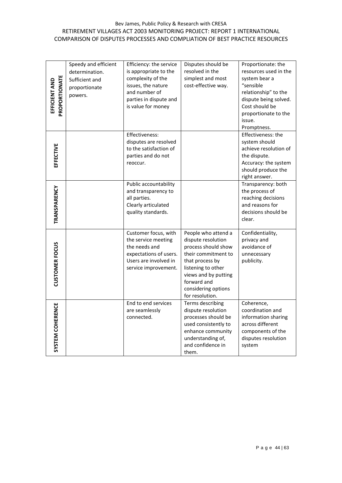#### Bev James, Public Policy & Research with CRESA RETIREMENT VILLAGES ACT 2003 MONITORING PROJECT: REPORT 1 INTERNATIONAL COMPARISON OF DISPUTES PROCESSES AND COMPLIATION OF BEST PRACTICE RESOURCES

| PROPORTIONATE<br>EFFICIENT AND | Speedy and efficient<br>determination.<br>Sufficient and<br>proportionate<br>powers. | Efficiency: the service<br>is appropriate to the<br>complexity of the<br>issues, the nature<br>and number of<br>parties in dispute and<br>is value for money | Disputes should be<br>resolved in the<br>simplest and most<br>cost-effective way.                                                                                                                                 | Proportionate: the<br>resources used in the<br>system bear a<br>"sensible<br>relationship" to the<br>dispute being solved.<br>Cost should be<br>proportionate to the<br>issue.<br>Promptness. |
|--------------------------------|--------------------------------------------------------------------------------------|--------------------------------------------------------------------------------------------------------------------------------------------------------------|-------------------------------------------------------------------------------------------------------------------------------------------------------------------------------------------------------------------|-----------------------------------------------------------------------------------------------------------------------------------------------------------------------------------------------|
| EFFECTIVE                      |                                                                                      | Effectiveness:<br>disputes are resolved<br>to the satisfaction of<br>parties and do not<br>reoccur.                                                          |                                                                                                                                                                                                                   | Effectiveness: the<br>system should<br>achieve resolution of<br>the dispute.<br>Accuracy: the system<br>should produce the<br>right answer.                                                   |
| TRANSPARENCY                   |                                                                                      | Public accountability<br>and transparency to<br>all parties.<br>Clearly articulated<br>quality standards.                                                    |                                                                                                                                                                                                                   | Transparency: both<br>the process of<br>reaching decisions<br>and reasons for<br>decisions should be<br>clear.                                                                                |
| <b>CUSTOMER FOCUS</b>          |                                                                                      | Customer focus, with<br>the service meeting<br>the needs and<br>expectations of users.<br>Users are involved in<br>service improvement.                      | People who attend a<br>dispute resolution<br>process should show<br>their commitment to<br>that process by<br>listening to other<br>views and by putting<br>forward and<br>considering options<br>for resolution. | Confidentiality,<br>privacy and<br>avoidance of<br>unnecessary<br>publicity.                                                                                                                  |
| SYSTEM COHERENCE               |                                                                                      | End to end services<br>are seamlessly<br>connected.                                                                                                          | Terms describing<br>dispute resolution<br>processes should be<br>used consistently to<br>enhance community<br>understanding of,<br>and confidence in<br>them.                                                     | Coherence,<br>coordination and<br>information sharing<br>across different<br>components of the<br>disputes resolution<br>system                                                               |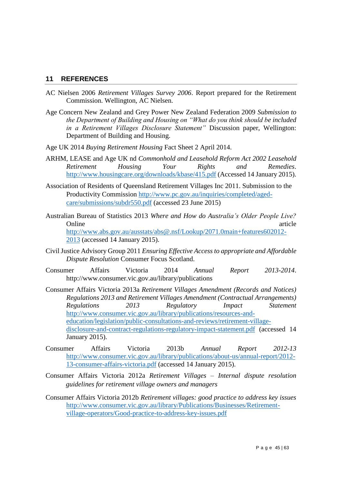#### **11 REFERENCES**

- AC Nielsen 2006 *Retirement Villages Survey 2006*. Report prepared for the Retirement Commission. Wellington, AC Nielsen.
- Age Concern New Zealand and Grey Power New Zealand Federation 2009 *Submission to the Department of Building and Housing on "What do you think should be included in a Retirement Villages Disclosure Statement"* Discussion paper, Wellington: Department of Building and Housing.
- Age UK 2014 *Buying Retirement Housing* Fact Sheet 2 April 2014.
- ARHM, LEASE and Age UK nd *Commonhold and Leasehold Reform Act 2002 Leasehold Retirement Housing Your Rights and Remedies*. <http://www.housingcare.org/downloads/kbase/415.pdf> (Accessed 14 January 2015).
- Association of Residents of Queensland Retirement Villages Inc 2011. Submission to the Productivity Commission [http://www.pc.gov.au/inquiries/completed/aged](http://www.pc.gov.au/inquiries/completed/aged-care/submissions/subdr550.pdf)[care/submissions/subdr550.pdf](http://www.pc.gov.au/inquiries/completed/aged-care/submissions/subdr550.pdf) (accessed 23 June 2015)
- Australian Bureau of Statistics 2013 *Where and How do Australia's Older People Live?* Online article article [http://www.abs.gov.au/ausstats/abs@.nsf/Lookup/2071.0main+features602012-](http://www.abs.gov.au/ausstats/abs@.nsf/Lookup/2071.0main+features602012-2013) [2013](http://www.abs.gov.au/ausstats/abs@.nsf/Lookup/2071.0main+features602012-2013) (accessed 14 January 2015).
- Civil Justice Advisory Group 2011 *Ensuring Effective Access to appropriate and Affordable Dispute Resolution* Consumer Focus Scotland.
- Consumer Affairs Victoria 2014 *Annual Report 2013-2014*. http://www.consumer.vic.gov.au/library/publications
- Consumer Affairs Victoria 2013a *Retirement Villages Amendment (Records and Notices) Regulations 2013 and Retirement Villages Amendment (Contractual Arrangements) Regulations 2013 Regulatory Impact Statement* [http://www.consumer.vic.gov.au/library/publications/resources-and](http://www.consumer.vic.gov.au/library/publications/resources-and-education/legislation/public-consultations-and-reviews/retirement-village-disclosure-and-contract-regulations-regulatory-impact-statement.pdf)[education/legislation/public-consultations-and-reviews/retirement-village](http://www.consumer.vic.gov.au/library/publications/resources-and-education/legislation/public-consultations-and-reviews/retirement-village-disclosure-and-contract-regulations-regulatory-impact-statement.pdf)[disclosure-and-contract-regulations-regulatory-impact-statement.pdf](http://www.consumer.vic.gov.au/library/publications/resources-and-education/legislation/public-consultations-and-reviews/retirement-village-disclosure-and-contract-regulations-regulatory-impact-statement.pdf) (accessed 14 January 2015).
- Consumer Affairs Victoria 2013b *Annual Report 2012-13* [http://www.consumer.vic.gov.au/library/publications/about-us/annual-report/2012-](http://www.consumer.vic.gov.au/library/publications/about-us/annual-report/2012-13-consumer-affairs-victoria.pdf) [13-consumer-affairs-victoria.pdf](http://www.consumer.vic.gov.au/library/publications/about-us/annual-report/2012-13-consumer-affairs-victoria.pdf) (accessed 14 January 2015).
- Consumer Affairs Victoria 2012a *Retirement Villages – Internal dispute resolution guidelines for retirement village owners and managers*
- Consumer Affairs Victoria 2012b *Retirement villages: good practice to address key issues* [http://www.consumer.vic.gov.au/library/Publications/Businesses/Retirement](http://www.consumer.vic.gov.au/library/Publications/Businesses/Retirement-village-operators/Good-practice-to-address-key-issues.pdf)[village-operators/Good-practice-to-address-key-issues.pdf](http://www.consumer.vic.gov.au/library/Publications/Businesses/Retirement-village-operators/Good-practice-to-address-key-issues.pdf)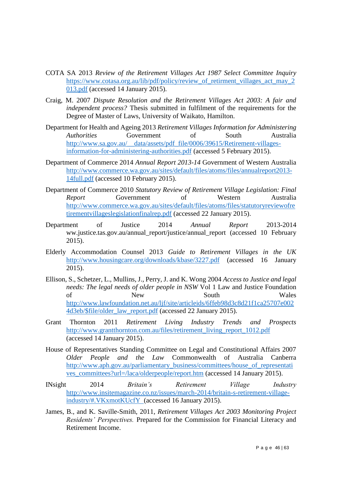- COTA SA 2013 *Review of the Retirement Villages Act 1987 Select Committee Inquiry* [https://www.cotasa.org.au/lib/pdf/policy/review\\_of\\_retirment\\_villages\\_act\\_may\\_2](https://www.cotasa.org.au/lib/pdf/policy/review_of_retirment_villages_act_may_2013.pdf) [013.pdf](https://www.cotasa.org.au/lib/pdf/policy/review_of_retirment_villages_act_may_2013.pdf) (accessed 14 January 2015).
- Craig, M. 2007 *Dispute Resolution and the Retirement Villages Act 2003: A fair and independent process?* Thesis submitted in fulfilment of the requirements for the Degree of Master of Laws, University of Waikato, Hamilton.
- Department for Health and Ageing 2013 *Retirement Villages Information for Administering Authorities* Government of South Australia [http://www.sa.gov.au/\\_\\_data/assets/pdf\\_file/0006/39615/Retirement-villages](http://www.sa.gov.au/__data/assets/pdf_file/0006/39615/Retirement-villages-information-for-administering-authorities.pdf)[information-for-administering-authorities.pdf](http://www.sa.gov.au/__data/assets/pdf_file/0006/39615/Retirement-villages-information-for-administering-authorities.pdf) (accessed 5 February 2015).
- Department of Commerce 2014 *Annual Report 2013-14* Government of Western Australia [http://www.commerce.wa.gov.au/sites/default/files/atoms/files/annualreport2013-](http://www.commerce.wa.gov.au/sites/default/files/atoms/files/annualreport2013-14full.pdf) [14full.pdf](http://www.commerce.wa.gov.au/sites/default/files/atoms/files/annualreport2013-14full.pdf) (accessed 10 February 2015).
- Department of Commerce 2010 *Statutory Review of Retirement Village Legislation: Final Report* Government of Western Australia [http://www.commerce.wa.gov.au/sites/default/files/atoms/files/statutoryreviewofre](http://www.commerce.wa.gov.au/sites/default/files/atoms/files/statutoryreviewofretirementvillageslegislationfinalrep.pdf) [tirementvillageslegislationfinalrep.pdf](http://www.commerce.wa.gov.au/sites/default/files/atoms/files/statutoryreviewofretirementvillageslegislationfinalrep.pdf) (accessed 22 January 2015).
- Department of Justice 2014 *Annual Report* 2013-2014 ww.justice.tas.gov.au/annual\_report/justice/annual\_report (accessed 10 February 2015).
- Elderly Accommodation Counsel 2013 *Guide to Retirement Villages in the UK* <http://www.housingcare.org/downloads/kbase/3227.pdf> (accessed 16 January 2015).
- Ellison, S., Schetzer, L., Mullins, J., Perry, J. and K. Wong 2004 *Access to Justice and legal needs: The legal needs of older people in NSW* Vol 1 Law and Justice Foundation of New South Wales [http://www.lawfoundation.net.au/ljf/site/articleids/6ffeb98d3c8d21f1ca25707e002](http://www.lawfoundation.net.au/ljf/site/articleids/6ffeb98d3c8d21f1ca25707e0024d3eb/$file/older_law_report.pdf) [4d3eb/\\$file/older\\_law\\_report.pdf](http://www.lawfoundation.net.au/ljf/site/articleids/6ffeb98d3c8d21f1ca25707e0024d3eb/$file/older_law_report.pdf) (accessed 22 January 2015).
- Grant Thornton 2011 *Retirement Living Industry Trends and Prospects* [http://www.grantthornton.com.au/files/retirement\\_living\\_report\\_1012.pdf](http://www.grantthornton.com.au/files/retirement_living_report_1012.pdf) (accessed 14 January 2015).
- House of Representatives Standing Committee on Legal and Constitutional Affairs 2007 *Older People and the Law* Commonwealth of Australia Canberra [http://www.aph.gov.au/parliamentary\\_business/committees/house\\_of\\_representati](http://www.aph.gov.au/parliamentary_business/committees/house_of_representatives_committees?url=/laca/olderpeople/report.htm) [ves\\_committees?url=/laca/olderpeople/report.htm](http://www.aph.gov.au/parliamentary_business/committees/house_of_representatives_committees?url=/laca/olderpeople/report.htm) (accessed 14 January 2015).
- INsight 2014 *Britain's Retirement Village Industry* [http://www.insitemagazine.co.nz/issues/march-2014/britain-s-retirement-village](http://www.insitemagazine.co.nz/issues/march-2014/britain-s-retirement-village-industry/#.VKxmotKUcfY)[industry/#.VKxmotKUcfY](http://www.insitemagazine.co.nz/issues/march-2014/britain-s-retirement-village-industry/#.VKxmotKUcfY) (accessed 16 January 2015).
- James, B., and K. Saville-Smith, 2011, *Retirement Villages Act 2003 Monitoring Project Residents' Perspectives.* Prepared for the Commission for Financial Literacy and Retirement Income.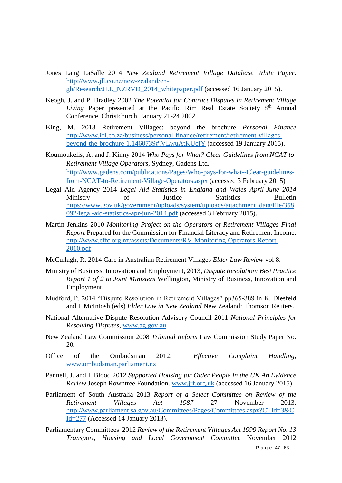- Jones Lang LaSalle 2014 *New Zealand Retirement Village Database White Paper*. [http://www.jll.co.nz/new-zealand/en](http://www.jll.co.nz/new-zealand/en-gb/Research/JLL_NZRVD_2014_whitepaper.pdf)[gb/Research/JLL\\_NZRVD\\_2014\\_whitepaper.pdf](http://www.jll.co.nz/new-zealand/en-gb/Research/JLL_NZRVD_2014_whitepaper.pdf) (accessed 16 January 2015).
- Keogh, J. and P. Bradley 2002 *The Potential for Contract Disputes in Retirement Village Living* Paper presented at the Pacific Rim Real Estate Society 8<sup>th</sup> Annual Conference, Christchurch, January 21-24 2002.
- King, M. 2013 Retirement Villages: beyond the brochure *Personal Finance* [http://www.iol.co.za/business/personal-finance/retirement/retirement-villages](http://www.iol.co.za/business/personal-finance/retirement/retirement-villages-beyond-the-brochure-1.1460739#.VLwuAtKUcfY)[beyond-the-brochure-1.1460739#.VLwuAtKUcfY](http://www.iol.co.za/business/personal-finance/retirement/retirement-villages-beyond-the-brochure-1.1460739#.VLwuAtKUcfY) (accessed 19 January 2015).
- Koumoukelis, A. and J. Kinny 2014 *Who Pays for What? Clear Guidelines from NCAT to Retirement Village Operators*, Sydney, Gadens Ltd. [http://www.gadens.com/publications/Pages/Who-pays-for-what--Clear-guidelines](http://www.gadens.com/publications/Pages/Who-pays-for-what--Clear-guidelines-from-NCAT-to-Retirement-Village-Operators.aspx)[from-NCAT-to-Retirement-Village-Operators.aspx](http://www.gadens.com/publications/Pages/Who-pays-for-what--Clear-guidelines-from-NCAT-to-Retirement-Village-Operators.aspx) (accessed 3 February 2015)
- Legal Aid Agency 2014 *Legal Aid Statistics in England and Wales April-June 2014*  Ministry of Justice Statistics Bulletin [https://www.gov.uk/government/uploads/system/uploads/attachment\\_data/file/358](https://www.gov.uk/government/uploads/system/uploads/attachment_data/file/358092/legal-aid-statistics-apr-jun-2014.pdf) [092/legal-aid-statistics-apr-jun-2014.pdf](https://www.gov.uk/government/uploads/system/uploads/attachment_data/file/358092/legal-aid-statistics-apr-jun-2014.pdf) (accessed 3 February 2015).
- Martin Jenkins 2010 *Monitoring Project on the Operators of Retirement Villages Final Report* Prepared for the Commission for Financial Literacy and Retirement Income. [http://www.cffc.org.nz/assets/Documents/RV-Monitoring-Operators-Report-](http://www.cffc.org.nz/assets/Documents/RV-Monitoring-Operators-Report-2010.pdf)[2010.pdf](http://www.cffc.org.nz/assets/Documents/RV-Monitoring-Operators-Report-2010.pdf)
- McCullagh, R. 2014 Care in Australian Retirement Villages *Elder Law Review* vol 8.
- Ministry of Business, Innovation and Employment, 2013, *Dispute Resolution: Best Practice Report 1 of 2 to Joint Ministers* Wellington, Ministry of Business, Innovation and Employment.
- Mudford, P. 2014 "Dispute Resolution in Retirement Villages" pp365-389 in K. Diesfeld and I. McIntosh (eds) *Elder Law in New Zealand* New Zealand: Thomson Reuters.
- National Alternative Dispute Resolution Advisory Council 2011 *National Principles for Resolving Disputes*, [www.ag.gov.au](http://www.ag.gov.au/)
- New Zealand Law Commission 2008 *Tribunal Reform* Law Commission Study Paper No. 20.
- Office of the Ombudsman 2012. *Effective Complaint Handling*, [www.ombudsman.parliament.nz](http://www.ombudsman.parliament.nz/)
- Pannell, J. and I. Blood 2012 *Supported Housing for Older People in the UK An Evidence Review* Joseph Rowntree Foundation. [www.jrf.org.uk](http://www.jrf.org.uk/) (accessed 16 January 2015).
- Parliament of South Australia 2013 *Report of a Select Committee on Review of the Retirement Villages Act 1987* 27 November 2013. [http://www.parliament.sa.gov.au/Committees/Pages/Committees.aspx?CTId=3&C](http://www.parliament.sa.gov.au/Committees/Pages/Committees.aspx?CTId=3&CId=277) [Id=277](http://www.parliament.sa.gov.au/Committees/Pages/Committees.aspx?CTId=3&CId=277) (Accessed 14 January 2013).
- Parliamentary Committees 2012 *Review of the Retirement Villages Act 1999 Report No. 13 Transport, Housing and Local Government Committee* November 2012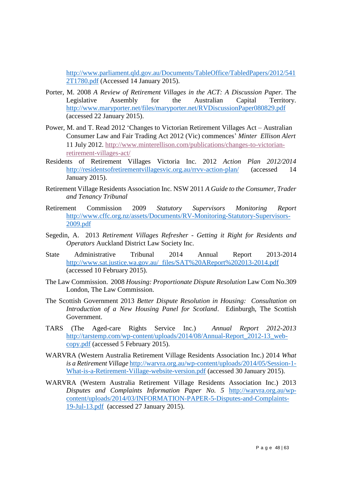[http://www.parliament.qld.gov.au/Documents/TableOffice/TabledPapers/2012/541](http://www.parliament.qld.gov.au/Documents/TableOffice/TabledPapers/2012/5412T1780.pdf) [2T1780.pdf](http://www.parliament.qld.gov.au/Documents/TableOffice/TabledPapers/2012/5412T1780.pdf) (Accessed 14 January 2015).

- Porter, M. 2008 *A Review of Retirement Villages in the ACT: A Discussion Paper.* The Legislative Assembly for the Australian Capital Territory. <http://www.maryporter.net/files/maryporter.net/RVDiscussionPaper080829.pdf> (accessed 22 January 2015).
- Power, M. and T. Read 2012 'Changes to Victorian Retirement Villages Act Australian Consumer Law and Fair Trading Act 2012 (Vic) commences' *Minter Ellison Alert* 11 July 2012. [http://www.minterellison.com/publications/changes-to-victorian](http://www.minterellison.com/publications/changes-to-victorian-retirement-villages-act/)[retirement-villages-act/](http://www.minterellison.com/publications/changes-to-victorian-retirement-villages-act/)
- Residents of Retirement Villages Victoria Inc. 2012 *Action Plan 2012/2014* <http://residentsofretirementvillagesvic.org.au/rrvv-action-plan/> (accessed 14 January 2015).
- Retirement Village Residents Association Inc. NSW 2011 *A Guide to the Consumer, Trader and Tenancy Tribunal*
- Retirement Commission 2009 *Statutory Supervisors Monitoring Report* [http://www.cffc.org.nz/assets/Documents/RV-Monitoring-Statutory-Supervisors-](http://www.cffc.org.nz/assets/Documents/RV-Monitoring-Statutory-Supervisors-2009.pdf)[2009.pdf](http://www.cffc.org.nz/assets/Documents/RV-Monitoring-Statutory-Supervisors-2009.pdf)
- Segedin, A. 2013 *Retirement Villages Refresher - Getting it Right for Residents and Operators* Auckland District Law Society Inc.
- State Administrative Tribunal 2014 Annual Report 2013-2014 [http://www.sat.justice.wa.gov.au/\\_files/SAT%20AReport%202013-2014.pdf](http://www.sat.justice.wa.gov.au/_files/SAT%20AReport%202013-2014.pdf) (accessed 10 February 2015).
- The Law Commission. 2008 *Housing: Proportionate Dispute Resolution* Law Com No.309 London, The Law Commission.
- The Scottish Government 2013 *Better Dispute Resolution in Housing: Consultation on Introduction of a New Housing Panel for Scotland*. Edinburgh, The Scottish Government.
- TARS (The Aged-care Rights Service Inc.) *Annual Report 2012-2013* [http://tarstemp.com/wp-content/uploads/2014/08/Annual-Report\\_2012-13\\_web](http://tarstemp.com/wp-content/uploads/2014/08/Annual-Report_2012-13_web-copy.pdf)[copy.pdf](http://tarstemp.com/wp-content/uploads/2014/08/Annual-Report_2012-13_web-copy.pdf) (accessed 5 February 2015).
- WARVRA (Western Australia Retirement Village Residents Association Inc.) 2014 *What is a Retirement Village* [http://warvra.org.au/wp-content/uploads/2014/05/Session-1-](http://warvra.org.au/wp-content/uploads/2014/05/Session-1-What-is-a-Retirement-Village-website-version.pdf) [What-is-a-Retirement-Village-website-version.pdf](http://warvra.org.au/wp-content/uploads/2014/05/Session-1-What-is-a-Retirement-Village-website-version.pdf) (accessed 30 January 2015).
- WARVRA (Western Australia Retirement Village Residents Association Inc.) 2013 *Disputes and Complaints Information Paper No. 5* [http://warvra.org.au/wp](http://warvra.org.au/wp-content/uploads/2014/03/INFORMATION-PAPER-5-Disputes-and-Complaints-19-Jul-13.pdf)[content/uploads/2014/03/INFORMATION-PAPER-5-Disputes-and-Complaints-](http://warvra.org.au/wp-content/uploads/2014/03/INFORMATION-PAPER-5-Disputes-and-Complaints-19-Jul-13.pdf)[19-Jul-13.pdf](http://warvra.org.au/wp-content/uploads/2014/03/INFORMATION-PAPER-5-Disputes-and-Complaints-19-Jul-13.pdf) (accessed 27 January 2015).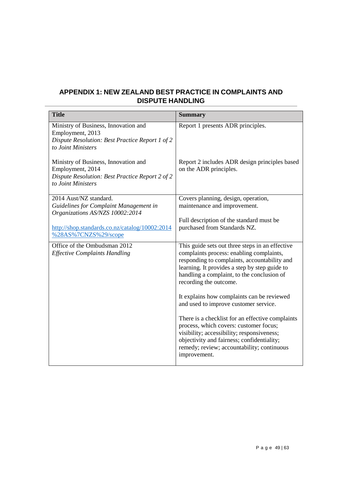#### **APPENDIX 1: NEW ZEALAND BEST PRACTICE IN COMPLAINTS AND DISPUTE HANDLING**

| <b>Title</b>                                                                                                                      | <b>Summary</b>                                                                                                                                                                                                                                                       |
|-----------------------------------------------------------------------------------------------------------------------------------|----------------------------------------------------------------------------------------------------------------------------------------------------------------------------------------------------------------------------------------------------------------------|
| Ministry of Business, Innovation and<br>Employment, 2013<br>Dispute Resolution: Best Practice Report 1 of 2<br>to Joint Ministers | Report 1 presents ADR principles.                                                                                                                                                                                                                                    |
| Ministry of Business, Innovation and<br>Employment, 2014<br>Dispute Resolution: Best Practice Report 2 of 2<br>to Joint Ministers | Report 2 includes ADR design principles based<br>on the ADR principles.                                                                                                                                                                                              |
| 2014 Aust/NZ standard.<br>Guidelines for Complaint Management in<br>Organizations AS/NZS 10002:2014                               | Covers planning, design, operation,<br>maintenance and improvement.                                                                                                                                                                                                  |
| http://shop.standards.co.nz/catalog/10002:2014<br>%28AS%7CNZS%29/scope                                                            | Full description of the standard must be<br>purchased from Standards NZ.                                                                                                                                                                                             |
| Office of the Ombudsman 2012<br><b>Effective Complaints Handling</b>                                                              | This guide sets out three steps in an effective<br>complaints process: enabling complaints,<br>responding to complaints, accountability and<br>learning. It provides a step by step guide to<br>handling a complaint, to the conclusion of<br>recording the outcome. |
|                                                                                                                                   | It explains how complaints can be reviewed<br>and used to improve customer service.                                                                                                                                                                                  |
|                                                                                                                                   | There is a checklist for an effective complaints<br>process, which covers: customer focus;<br>visibility; accessibility; responsiveness;<br>objectivity and fairness; confidentiality;<br>remedy; review; accountability; continuous<br>improvement.                 |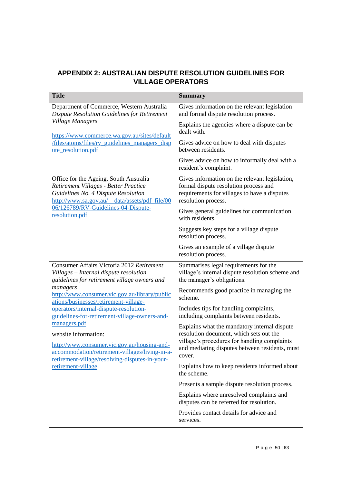#### **APPENDIX 2: AUSTRALIAN DISPUTE RESOLUTION GUIDELINES FOR VILLAGE OPERATORS**

| <b>Title</b>                                                                                                                                                                                                                                                                                                                                                                                                   | <b>Summary</b>                                                                                                                                                                                      |
|----------------------------------------------------------------------------------------------------------------------------------------------------------------------------------------------------------------------------------------------------------------------------------------------------------------------------------------------------------------------------------------------------------------|-----------------------------------------------------------------------------------------------------------------------------------------------------------------------------------------------------|
| Department of Commerce, Western Australia<br><b>Dispute Resolution Guidelines for Retirement</b><br><b>Village Managers</b><br>https://www.commerce.wa.gov.au/sites/default                                                                                                                                                                                                                                    | Gives information on the relevant legislation<br>and formal dispute resolution process.                                                                                                             |
|                                                                                                                                                                                                                                                                                                                                                                                                                | Explains the agencies where a dispute can be<br>dealt with.                                                                                                                                         |
| /files/atoms/files/rv_guidelines_managers_disp<br>ute_resolution.pdf                                                                                                                                                                                                                                                                                                                                           | Gives advice on how to deal with disputes<br>between residents.                                                                                                                                     |
|                                                                                                                                                                                                                                                                                                                                                                                                                | Gives advice on how to informally deal with a<br>resident's complaint.                                                                                                                              |
| Office for the Ageing, South Australia<br>Retirement Villages - Better Practice<br>Guidelines No. 4 Dispute Resolution<br>http://www.sa.gov.au/_data/assets/pdf_file/00<br>06/126789/RV-Guidelines-04-Dispute-<br>resolution.pdf                                                                                                                                                                               | Gives information on the relevant legislation,<br>formal dispute resolution process and<br>requirements for villages to have a disputes<br>resolution process.                                      |
|                                                                                                                                                                                                                                                                                                                                                                                                                | Gives general guidelines for communication<br>with residents.                                                                                                                                       |
|                                                                                                                                                                                                                                                                                                                                                                                                                | Suggests key steps for a village dispute<br>resolution process.                                                                                                                                     |
|                                                                                                                                                                                                                                                                                                                                                                                                                | Gives an example of a village dispute<br>resolution process.                                                                                                                                        |
| Consumer Affairs Victoria 2012 Retirement<br>Villages - Internal dispute resolution<br>guidelines for retirement village owners and                                                                                                                                                                                                                                                                            | Summarises legal requirements for the<br>village's internal dispute resolution scheme and<br>the manager's obligations.                                                                             |
| managers<br>http://www.consumer.vic.gov.au/library/public<br>ations/businesses/retirement-village-<br>operators/internal-dispute-resolution-<br>guidelines-for-retirement-village-owners-and-<br>managers.pdf<br>website information:<br>http://www.consumer.vic.gov.au/housing-and-<br>accommodation/retirement-villages/living-in-a-<br>retirement-village/resolving-disputes-in-your-<br>retirement-village | Recommends good practice in managing the<br>scheme.                                                                                                                                                 |
|                                                                                                                                                                                                                                                                                                                                                                                                                | Includes tips for handling complaints,<br>including complaints between residents.                                                                                                                   |
|                                                                                                                                                                                                                                                                                                                                                                                                                | Explains what the mandatory internal dispute<br>resolution document, which sets out the<br>village's procedures for handling complaints<br>and mediating disputes between residents, must<br>cover. |
|                                                                                                                                                                                                                                                                                                                                                                                                                | Explains how to keep residents informed about<br>the scheme.                                                                                                                                        |
|                                                                                                                                                                                                                                                                                                                                                                                                                | Presents a sample dispute resolution process.                                                                                                                                                       |
|                                                                                                                                                                                                                                                                                                                                                                                                                | Explains where unresolved complaints and<br>disputes can be referred for resolution.                                                                                                                |
|                                                                                                                                                                                                                                                                                                                                                                                                                | Provides contact details for advice and<br>services.                                                                                                                                                |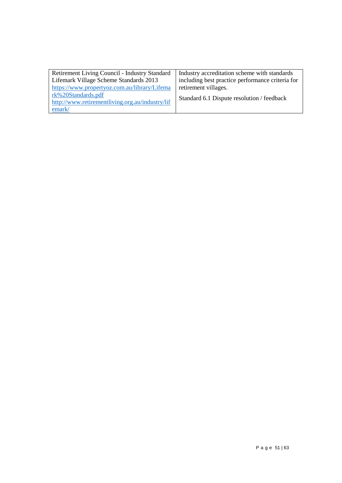| Industry accreditation scheme with standards     |
|--------------------------------------------------|
| including best practice performance criteria for |
|                                                  |
| Standard 6.1 Dispute resolution / feedback       |
|                                                  |
|                                                  |
|                                                  |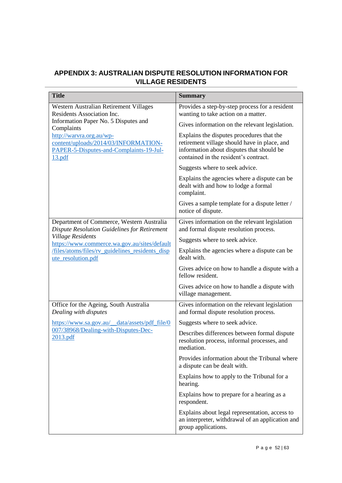#### **APPENDIX 3: AUSTRALIAN DISPUTE RESOLUTION INFORMATION FOR VILLAGE RESIDENTS**

| <b>Title</b>                                                                                                          | <b>Summary</b>                                                                                                                                                                  |
|-----------------------------------------------------------------------------------------------------------------------|---------------------------------------------------------------------------------------------------------------------------------------------------------------------------------|
| Western Australian Retirement Villages<br>Residents Association Inc.                                                  | Provides a step-by-step process for a resident<br>wanting to take action on a matter.                                                                                           |
| Information Paper No. 5 Disputes and<br>Complaints                                                                    | Gives information on the relevant legislation.                                                                                                                                  |
| http://warvra.org.au/wp-<br>content/uploads/2014/03/INFORMATION-<br>PAPER-5-Disputes-and-Complaints-19-Jul-<br>13.pdf | Explains the disputes procedures that the<br>retirement village should have in place, and<br>information about disputes that should be<br>contained in the resident's contract. |
|                                                                                                                       | Suggests where to seek advice.                                                                                                                                                  |
|                                                                                                                       | Explains the agencies where a dispute can be<br>dealt with and how to lodge a formal<br>complaint.                                                                              |
|                                                                                                                       | Gives a sample template for a dispute letter /<br>notice of dispute.                                                                                                            |
| Department of Commerce, Western Australia<br><b>Dispute Resolution Guidelines for Retirement</b>                      | Gives information on the relevant legislation<br>and formal dispute resolution process.                                                                                         |
| <b>Village Residents</b><br>https://www.commerce.wa.gov.au/sites/default                                              | Suggests where to seek advice.                                                                                                                                                  |
| /files/atoms/files/rv_guidelines_residents_disp<br>ute_resolution.pdf                                                 | Explains the agencies where a dispute can be<br>dealt with.                                                                                                                     |
|                                                                                                                       | Gives advice on how to handle a dispute with a<br>fellow resident.                                                                                                              |
|                                                                                                                       | Gives advice on how to handle a dispute with<br>village management.                                                                                                             |
| Office for the Ageing, South Australia<br>Dealing with disputes                                                       | Gives information on the relevant legislation<br>and formal dispute resolution process.                                                                                         |
| https://www.sa.gov.au/_data/assets/pdf_file/0                                                                         | Suggests where to seek advice.                                                                                                                                                  |
| 007/38968/Dealing-with-Disputes-Dec-<br>2013.pdf                                                                      | Describes differences between formal dispute<br>resolution process, informal processes, and<br>mediation.                                                                       |
|                                                                                                                       | Provides information about the Tribunal where<br>a dispute can be dealt with.                                                                                                   |
|                                                                                                                       | Explains how to apply to the Tribunal for a<br>hearing.                                                                                                                         |
|                                                                                                                       | Explains how to prepare for a hearing as a<br>respondent.                                                                                                                       |
|                                                                                                                       | Explains about legal representation, access to<br>an interpreter, withdrawal of an application and<br>group applications.                                                       |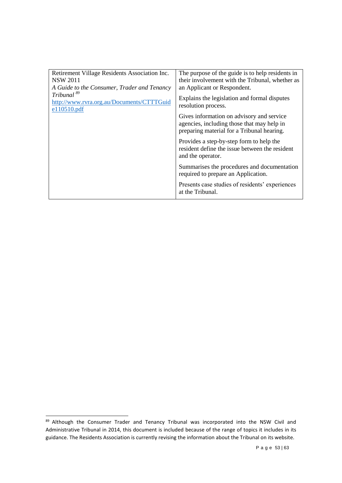| Retirement Village Residents Association Inc.<br><b>NSW 2011</b><br>A Guide to the Consumer, Trader and Tenancy<br>Tribunal <sup>89</sup><br>http://www.rvra.org.au/Documents/CTTTGuid<br>e110510.pdf | The purpose of the guide is to help residents in<br>their involvement with the Tribunal, whether as<br>an Applicant or Respondent.    |
|-------------------------------------------------------------------------------------------------------------------------------------------------------------------------------------------------------|---------------------------------------------------------------------------------------------------------------------------------------|
|                                                                                                                                                                                                       | Explains the legislation and formal disputes<br>resolution process.                                                                   |
|                                                                                                                                                                                                       | Gives information on advisory and service<br>agencies, including those that may help in<br>preparing material for a Tribunal hearing. |
|                                                                                                                                                                                                       | Provides a step-by-step form to help the<br>resident define the issue between the resident<br>and the operator.                       |
|                                                                                                                                                                                                       | Summarises the procedures and documentation<br>required to prepare an Application.                                                    |
|                                                                                                                                                                                                       | Presents case studies of residents' experiences<br>at the Tribunal.                                                                   |

<sup>89</sup> Although the Consumer Trader and Tenancy Tribunal was incorporated into the NSW Civil and Administrative Tribunal in 2014, this document is included because of the range of topics it includes in its guidance. The Residents Association is currently revising the information about the Tribunal on its website.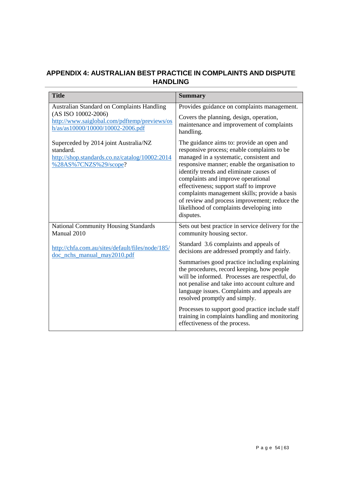#### **APPENDIX 4: AUSTRALIAN BEST PRACTICE IN COMPLAINTS AND DISPUTE HANDLING**

| <b>Title</b>                                                                                                                  | <b>Summary</b>                                                                                                                                                                                                                                                                                                                                                                                                                                                              |
|-------------------------------------------------------------------------------------------------------------------------------|-----------------------------------------------------------------------------------------------------------------------------------------------------------------------------------------------------------------------------------------------------------------------------------------------------------------------------------------------------------------------------------------------------------------------------------------------------------------------------|
| <b>Australian Standard on Complaints Handling</b>                                                                             | Provides guidance on complaints management.                                                                                                                                                                                                                                                                                                                                                                                                                                 |
| (AS ISO 10002-2006)<br>http://www.saiglobal.com/pdftemp/previews/os<br>$h/as/as10000/10000/10002-2006.pdf$                    | Covers the planning, design, operation,<br>maintenance and improvement of complaints<br>handling.                                                                                                                                                                                                                                                                                                                                                                           |
| Superceded by 2014 joint Australia/NZ<br>standard.<br>http://shop.standards.co.nz/catalog/10002:2014<br>%28AS%7CNZS%29/scope? | The guidance aims to: provide an open and<br>responsive process; enable complaints to be<br>managed in a systematic, consistent and<br>responsive manner; enable the organisation to<br>identify trends and eliminate causes of<br>complaints and improve operational<br>effectiveness; support staff to improve<br>complaints management skills; provide a basis<br>of review and process improvement; reduce the<br>likelihood of complaints developing into<br>disputes. |
| National Community Housing Standards<br>Manual 2010                                                                           | Sets out best practice in service delivery for the<br>community housing sector.                                                                                                                                                                                                                                                                                                                                                                                             |
| http://chfa.com.au/sites/default/files/node/185/<br>doc_nchs_manual_may2010.pdf                                               | Standard 3.6 complaints and appeals of<br>decisions are addressed promptly and fairly.                                                                                                                                                                                                                                                                                                                                                                                      |
|                                                                                                                               | Summarises good practice including explaining<br>the procedures, record keeping, how people<br>will be informed. Processes are respectful, do<br>not penalise and take into account culture and<br>language issues. Complaints and appeals are<br>resolved promptly and simply.                                                                                                                                                                                             |
|                                                                                                                               | Processes to support good practice include staff<br>training in complaints handling and monitoring<br>effectiveness of the process.                                                                                                                                                                                                                                                                                                                                         |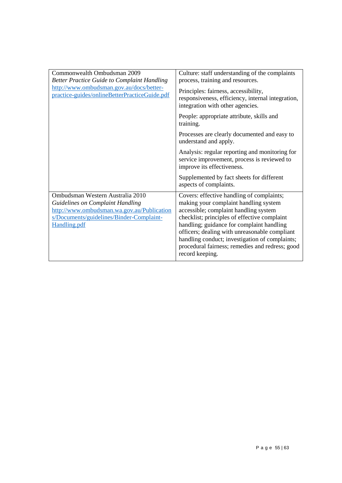| Commonwealth Ombudsman 2009<br><b>Better Practice Guide to Complaint Handling</b><br>http://www.ombudsman.gov.au/docs/better-<br>practice-guides/onlineBetterPracticeGuide.pdf               | Culture: staff understanding of the complaints<br>process, training and resources.                                                                                                                                                                                                                                                                                                                |
|----------------------------------------------------------------------------------------------------------------------------------------------------------------------------------------------|---------------------------------------------------------------------------------------------------------------------------------------------------------------------------------------------------------------------------------------------------------------------------------------------------------------------------------------------------------------------------------------------------|
|                                                                                                                                                                                              | Principles: fairness, accessibility,<br>responsiveness, efficiency, internal integration,<br>integration with other agencies.                                                                                                                                                                                                                                                                     |
|                                                                                                                                                                                              | People: appropriate attribute, skills and<br>training.                                                                                                                                                                                                                                                                                                                                            |
|                                                                                                                                                                                              | Processes are clearly documented and easy to<br>understand and apply.                                                                                                                                                                                                                                                                                                                             |
|                                                                                                                                                                                              | Analysis: regular reporting and monitoring for<br>service improvement, process is reviewed to<br>improve its effectiveness.                                                                                                                                                                                                                                                                       |
|                                                                                                                                                                                              | Supplemented by fact sheets for different<br>aspects of complaints.                                                                                                                                                                                                                                                                                                                               |
| Ombudsman Western Australia 2010<br><b>Guidelines on Complaint Handling</b><br>http://www.ombudsman.wa.gov.au/Publication<br>s/Documents/guidelines/Binder-Complaint-<br><b>Handling.pdf</b> | Covers: effective handling of complaints;<br>making your complaint handling system<br>accessible; complaint handling system<br>checklist; principles of effective complaint<br>handling; guidance for complaint handling<br>officers; dealing with unreasonable compliant<br>handling conduct; investigation of complaints;<br>procedural fairness; remedies and redress; good<br>record keeping. |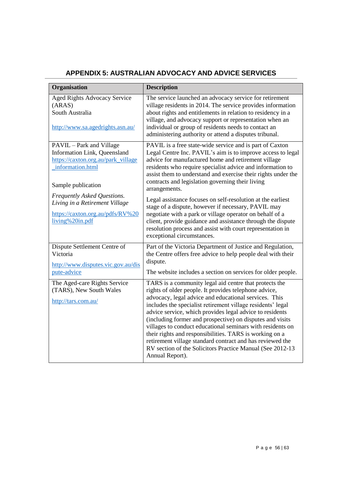# **APPENDIX 5: AUSTRALIAN ADVOCACY AND ADVICE SERVICES**

| Organisation                                                                                                                                                            | <b>Description</b>                                                                                                                                                                                                                                                                                                                                                                                                                                                                                                                                                                                                                     |
|-------------------------------------------------------------------------------------------------------------------------------------------------------------------------|----------------------------------------------------------------------------------------------------------------------------------------------------------------------------------------------------------------------------------------------------------------------------------------------------------------------------------------------------------------------------------------------------------------------------------------------------------------------------------------------------------------------------------------------------------------------------------------------------------------------------------------|
| Aged Rights Advocacy Service<br>(ARAS)<br>South Australia<br>http://www.sa.agedrights.asn.au/                                                                           | The service launched an advocacy service for retirement<br>village residents in 2014. The service provides information<br>about rights and entitlements in relation to residency in a<br>village, and advocacy support or representation when an<br>individual or group of residents needs to contact an<br>administering authority or attend a disputes tribunal.                                                                                                                                                                                                                                                                     |
| PAVIL - Park and Village<br>Information Link, Queensland<br>https://caxton.org.au/park_village<br>information.html<br>Sample publication<br>Frequently Asked Questions. | PAVIL is a free state-wide service and is part of Caxton<br>Legal Centre Inc. PAVIL's aim is to improve access to legal<br>advice for manufactured home and retirement village<br>residents who require specialist advice and information to<br>assist them to understand and exercise their rights under the<br>contracts and legislation governing their living<br>arrangements.                                                                                                                                                                                                                                                     |
| Living in a Retirement Village<br>https://caxton.org.au/pdfs/RV%20<br>living%20in.pdf                                                                                   | Legal assistance focuses on self-resolution at the earliest<br>stage of a dispute, however if necessary, PAVIL may<br>negotiate with a park or village operator on behalf of a<br>client, provide guidance and assistance through the dispute<br>resolution process and assist with court representation in<br>exceptional circumstances.                                                                                                                                                                                                                                                                                              |
| Dispute Settlement Centre of<br>Victoria<br>http://www.disputes.vic.gov.au/dis<br>pute-advice                                                                           | Part of the Victoria Department of Justice and Regulation,<br>the Centre offers free advice to help people deal with their<br>dispute.<br>The website includes a section on services for older people.                                                                                                                                                                                                                                                                                                                                                                                                                                 |
| The Aged-care Rights Service<br>(TARS), New South Wales<br>http://tars.com.au/                                                                                          | TARS is a community legal aid centre that protects the<br>rights of older people. It provides telephone advice,<br>advocacy, legal advice and educational services. This<br>includes the specialist retirement village residents' legal<br>advice service, which provides legal advice to residents<br>(including former and prospective) on disputes and visits<br>villages to conduct educational seminars with residents on<br>their rights and responsibilities. TARS is working on a<br>retirement village standard contract and has reviewed the<br>RV section of the Solicitors Practice Manual (See 2012-13<br>Annual Report). |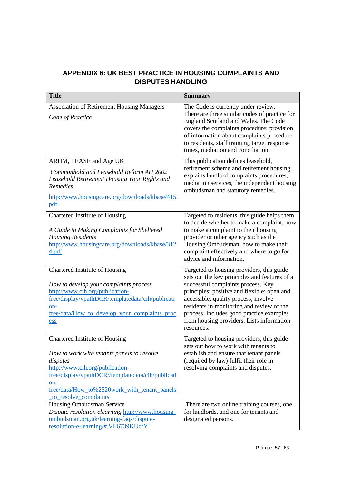#### **APPENDIX 6: UK BEST PRACTICE IN HOUSING COMPLAINTS AND DISPUTES HANDLING**

| <b>Title</b>                                                                                                                                                                                                                                                     | <b>Summary</b>                                                                                                                                                                                                                                                                                                                                                              |
|------------------------------------------------------------------------------------------------------------------------------------------------------------------------------------------------------------------------------------------------------------------|-----------------------------------------------------------------------------------------------------------------------------------------------------------------------------------------------------------------------------------------------------------------------------------------------------------------------------------------------------------------------------|
| <b>Association of Retirement Housing Managers</b><br>Code of Practice                                                                                                                                                                                            | The Code is currently under review.<br>There are three similar codes of practice for<br>England Scotland and Wales. The Code<br>covers the complaints procedure: provision<br>of information about complaints procedure<br>to residents, staff training, target response<br>times, mediation and conciliation.                                                              |
| ARHM, LEASE and Age UK<br>Commonhold and Leasehold Reform Act 2002<br>Leasehold Retirement Housing Your Rights and<br>Remedies<br>http://www.housingcare.org/downloads/kbase/415.<br>pdf                                                                         | This publication defines leasehold,<br>retirement scheme and retirement housing;<br>explains landlord complaints procedures,<br>mediation services, the independent housing<br>ombudsman and statutory remedies.                                                                                                                                                            |
| Chartered Institute of Housing<br>A Guide to Making Complaints for Sheltered<br><b>Housing Residents</b><br>http://www.housingcare.org/downloads/kbase/312<br>4.pdf                                                                                              | Targeted to residents, this guide helps them<br>to decide whether to make a complaint, how<br>to make a complaint to their housing<br>provider or other agency such as the<br>Housing Ombudsman, how to make their<br>complaint effectively and where to go for<br>advice and information.                                                                                  |
| Chartered Institute of Housing<br>How to develop your complaints process<br>http://www.cih.org/publication-<br>free/display/vpathDCR/templatedata/cih/publicati<br>on-<br>free/data/How_to_develop_your_complaints_proc<br>ess                                   | Targeted to housing providers, this guide<br>sets out the key principles and features of a<br>successful complaints process. Key<br>principles: positive and flexible; open and<br>accessible; quality process; involve<br>residents in monitoring and review of the<br>process. Includes good practice examples<br>from housing providers. Lists information<br>resources. |
| Chartered Institute of Housing<br>How to work with tenants panels to resolve<br>disputes<br>http://www.cih.org/publication-<br>free/display/vpathDCR//templatedata/cih/publicati<br>on-<br>free/data/How_to%2520work_with_tenant_panels<br>to resolve complaints | Targeted to housing providers, this guide<br>sets out how to work with tenants to<br>establish and ensure that tenant panels<br>(required by law) fulfil their role in<br>resolving complaints and disputes.                                                                                                                                                                |
| Housing Ombudsman Service<br>Dispute resolution elearning http://www.housing-<br>ombudsman.org.uk/learning-faqs/dispute-<br>resolution-e-learning/#.VL6739KUcfY                                                                                                  | There are two online training courses, one<br>for landlords, and one for tenants and<br>designated persons.                                                                                                                                                                                                                                                                 |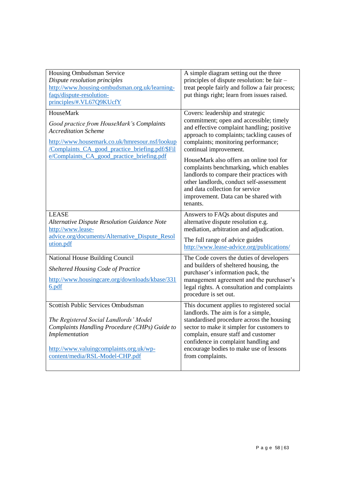| Housing Ombudsman Service<br>Dispute resolution principles<br>http://www.housing-ombudsman.org.uk/learning-<br>faqs/dispute-resolution-<br>principles/#.VL67Q9KUcfY                                                                      | A simple diagram setting out the three<br>principles of dispute resolution: be fair -<br>treat people fairly and follow a fair process;<br>put things right; learn from issues raised.                                                                                                                                     |
|------------------------------------------------------------------------------------------------------------------------------------------------------------------------------------------------------------------------------------------|----------------------------------------------------------------------------------------------------------------------------------------------------------------------------------------------------------------------------------------------------------------------------------------------------------------------------|
| HouseMark<br>Good practice from HouseMark's Complaints<br><b>Accreditation Scheme</b><br>http://www.housemark.co.uk/hmresour.nsf/lookup<br>/Complaints_CA_good_practice_briefing.pdf/\$Fil<br>e/Complaints_CA_good_practice_briefing.pdf | Covers: leadership and strategic<br>commitment; open and accessible; timely<br>and effective complaint handling; positive<br>approach to complaints; tackling causes of<br>complaints; monitoring performance;<br>continual improvement.<br>HouseMark also offers an online tool for                                       |
|                                                                                                                                                                                                                                          | complaints benchmarking, which enables<br>landlords to compare their practices with<br>other landlords, conduct self-assessment<br>and data collection for service<br>improvement. Data can be shared with<br>tenants.                                                                                                     |
| <b>LEASE</b><br><b>Alternative Dispute Resolution Guidance Note</b><br>http://www.lease-                                                                                                                                                 | Answers to FAQs about disputes and<br>alternative dispute resolution e.g.<br>mediation, arbitration and adjudication.                                                                                                                                                                                                      |
| advice.org/documents/Alternative_Dispute_Resol<br>ution.pdf                                                                                                                                                                              | The full range of advice guides<br>http://www.lease-advice.org/publications/                                                                                                                                                                                                                                               |
| National House Building Council<br>Sheltered Housing Code of Practice<br>http://www.housingcare.org/downloads/kbase/331<br>6.pdf                                                                                                         | The Code covers the duties of developers<br>and builders of sheltered housing, the<br>purchaser's information pack, the<br>management agreement and the purchaser's<br>legal rights. A consultation and complaints<br>procedure is set out.                                                                                |
| Scottish Public Services Ombudsman<br>The Registered Social Landlords' Model<br>Complaints Handling Procedure (CHPs) Guide to<br>Implementation<br>http://www.valuingcomplaints.org.uk/wp-<br>content/media/RSL-Model-CHP.pdf            | This document applies to registered social<br>landlords. The aim is for a simple,<br>standardised procedure across the housing<br>sector to make it simpler for customers to<br>complain, ensure staff and customer<br>confidence in complaint handling and<br>encourage bodies to make use of lessons<br>from complaints. |